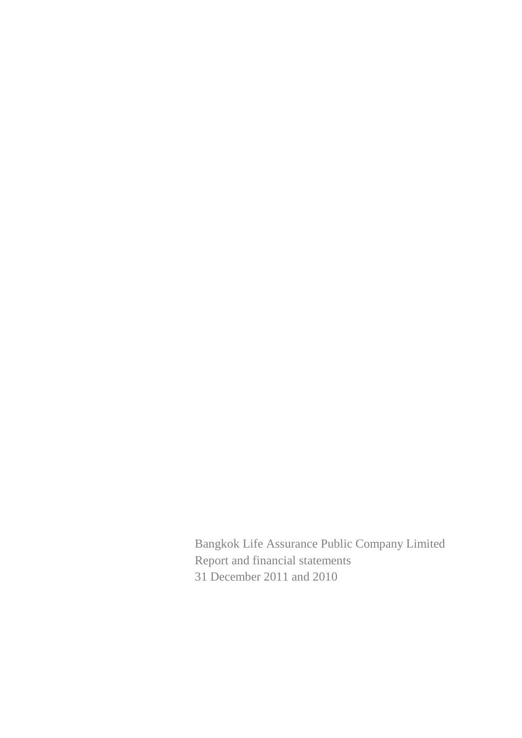Bangkok Life Assurance Public Company Limited Report and financial statements 31 December 2011 and 2010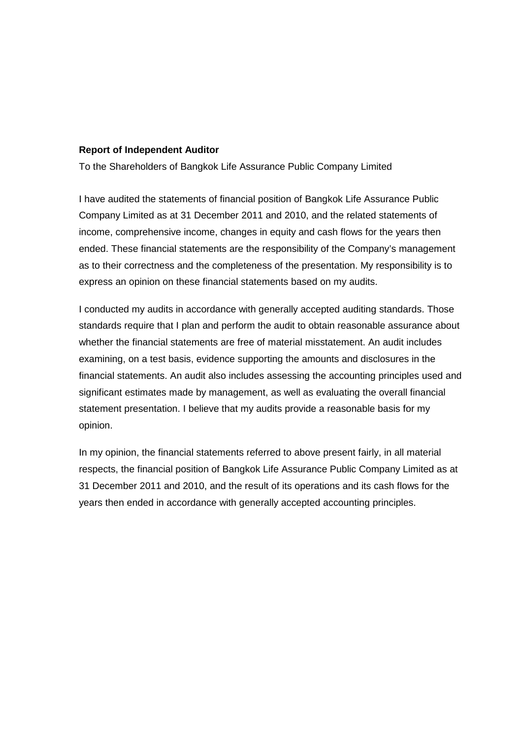#### **Report of Independent Auditor**

To the Shareholders of Bangkok Life Assurance Public Company Limited

I have audited the statements of financial position of Bangkok Life Assurance Public Company Limited as at 31 December 2011 and 2010, and the related statements of income, comprehensive income, changes in equity and cash flows for the years then ended. These financial statements are the responsibility of the Company's management as to their correctness and the completeness of the presentation. My responsibility is to express an opinion on these financial statements based on my audits.

I conducted my audits in accordance with generally accepted auditing standards. Those standards require that I plan and perform the audit to obtain reasonable assurance about whether the financial statements are free of material misstatement. An audit includes examining, on a test basis, evidence supporting the amounts and disclosures in the financial statements. An audit also includes assessing the accounting principles used and significant estimates made by management, as well as evaluating the overall financial statement presentation. I believe that my audits provide a reasonable basis for my opinion.

In my opinion, the financial statements referred to above present fairly, in all material respects, the financial position of Bangkok Life Assurance Public Company Limited as at 31 December 2011 and 2010, and the result of its operations and its cash flows for the years then ended in accordance with generally accepted accounting principles.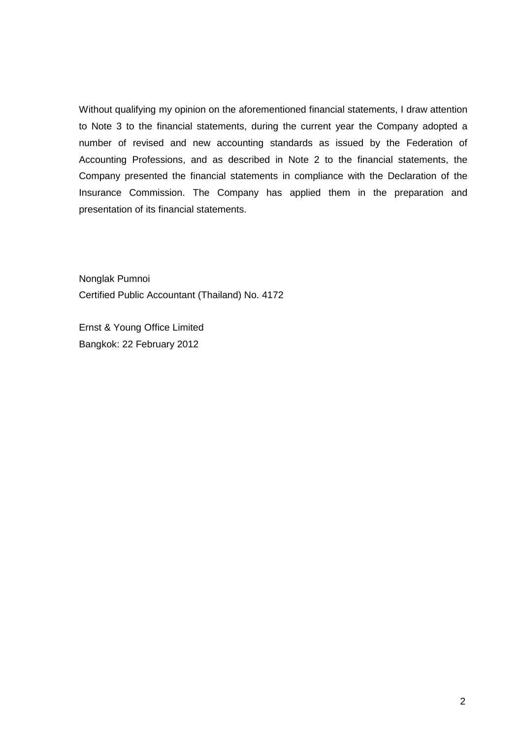Without qualifying my opinion on the aforementioned financial statements, I draw attention to Note 3 to the financial statements, during the current year the Company adopted a number of revised and new accounting standards as issued by the Federation of Accounting Professions, and as described in Note 2 to the financial statements, the Company presented the financial statements in compliance with the Declaration of the Insurance Commission. The Company has applied them in the preparation and presentation of its financial statements.

Nonglak Pumnoi Certified Public Accountant (Thailand) No. 4172

Ernst & Young Office Limited Bangkok: 22 February 2012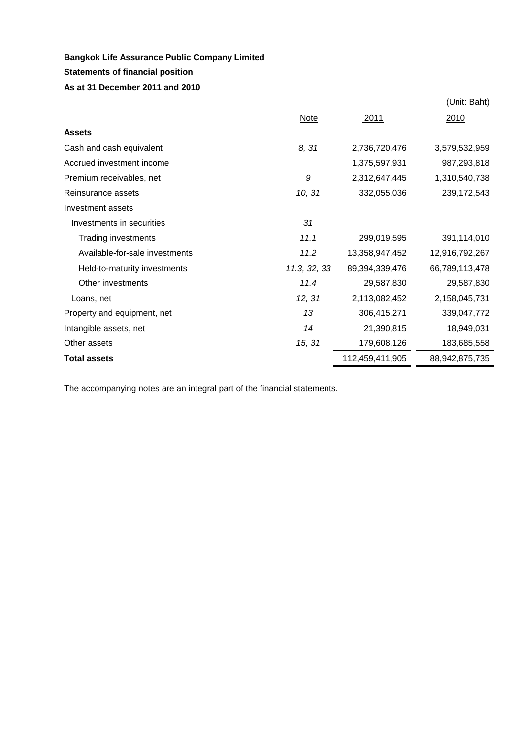# **Statements of financial position**

## **As at 31 December 2011 and 2010**

|                                |              |                 | (Unit: Baht)   |
|--------------------------------|--------------|-----------------|----------------|
|                                | Note         | <u>2011</u>     | 2010           |
| <b>Assets</b>                  |              |                 |                |
| Cash and cash equivalent       | 8, 31        | 2,736,720,476   | 3,579,532,959  |
| Accrued investment income      |              | 1,375,597,931   | 987,293,818    |
| Premium receivables, net       | 9            | 2,312,647,445   | 1,310,540,738  |
| Reinsurance assets             | 10, 31       | 332,055,036     | 239, 172, 543  |
| Investment assets              |              |                 |                |
| Investments in securities      | 31           |                 |                |
| <b>Trading investments</b>     | 11.1         | 299,019,595     | 391,114,010    |
| Available-for-sale investments | 11.2         | 13,358,947,452  | 12,916,792,267 |
| Held-to-maturity investments   | 11.3, 32, 33 | 89,394,339,476  | 66,789,113,478 |
| Other investments              | 11.4         | 29,587,830      | 29,587,830     |
| Loans, net                     | 12, 31       | 2,113,082,452   | 2,158,045,731  |
| Property and equipment, net    | 13           | 306,415,271     | 339,047,772    |
| Intangible assets, net         | 14           | 21,390,815      | 18,949,031     |
| Other assets                   | 15, 31       | 179,608,126     | 183,685,558    |
| <b>Total assets</b>            |              | 112,459,411,905 | 88,942,875,735 |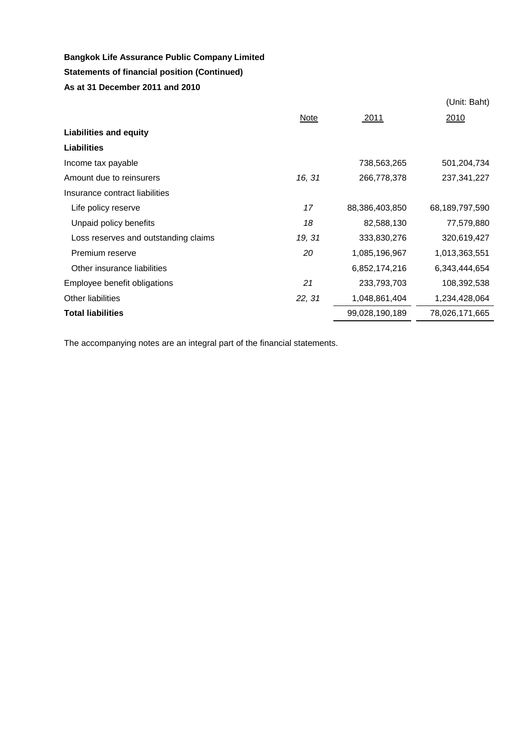# **Statements of financial position (Continued)**

**As at 31 December 2011 and 2010**

|                                      |        |                | (Unit: Baht)   |
|--------------------------------------|--------|----------------|----------------|
|                                      | Note   | 2011           | 2010           |
| <b>Liabilities and equity</b>        |        |                |                |
| <b>Liabilities</b>                   |        |                |                |
| Income tax payable                   |        | 738,563,265    | 501,204,734    |
| Amount due to reinsurers             | 16, 31 | 266,778,378    | 237, 341, 227  |
| Insurance contract liabilities       |        |                |                |
| Life policy reserve                  | 17     | 88,386,403,850 | 68,189,797,590 |
| Unpaid policy benefits               | 18     | 82,588,130     | 77,579,880     |
| Loss reserves and outstanding claims | 19, 31 | 333,830,276    | 320,619,427    |
| Premium reserve                      | 20     | 1,085,196,967  | 1,013,363,551  |
| Other insurance liabilities          |        | 6,852,174,216  | 6,343,444,654  |
| Employee benefit obligations         | 21     | 233,793,703    | 108,392,538    |
| <b>Other liabilities</b>             | 22, 31 | 1,048,861,404  | 1,234,428,064  |
| <b>Total liabilities</b>             |        | 99,028,190,189 | 78,026,171,665 |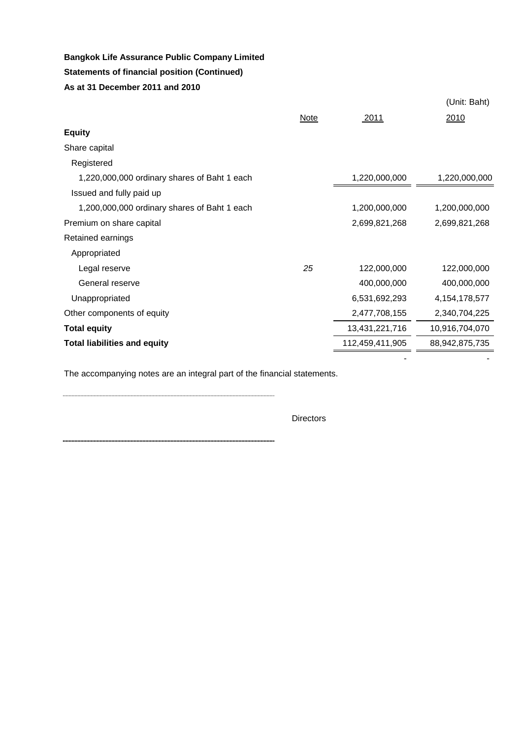## **Statements of financial position (Continued)**

## **As at 31 December 2011 and 2010**

|                                              |      |                 | (Unit: Baht)     |
|----------------------------------------------|------|-----------------|------------------|
|                                              | Note | 2011            | 2010             |
| <b>Equity</b>                                |      |                 |                  |
| Share capital                                |      |                 |                  |
| Registered                                   |      |                 |                  |
| 1,220,000,000 ordinary shares of Baht 1 each |      | 1,220,000,000   | 1,220,000,000    |
| Issued and fully paid up                     |      |                 |                  |
| 1,200,000,000 ordinary shares of Baht 1 each |      | 1,200,000,000   | 1,200,000,000    |
| Premium on share capital                     |      | 2,699,821,268   | 2,699,821,268    |
| Retained earnings                            |      |                 |                  |
| Appropriated                                 |      |                 |                  |
| Legal reserve                                | 25   | 122,000,000     | 122,000,000      |
| General reserve                              |      | 400,000,000     | 400,000,000      |
| Unappropriated                               |      | 6,531,692,293   | 4, 154, 178, 577 |
| Other components of equity                   |      | 2,477,708,155   | 2,340,704,225    |
| <b>Total equity</b>                          |      | 13,431,221,716  | 10,916,704,070   |
| <b>Total liabilities and equity</b>          |      | 112,459,411,905 | 88,942,875,735   |

The accompanying notes are an integral part of the financial statements.

**Directors** 

- -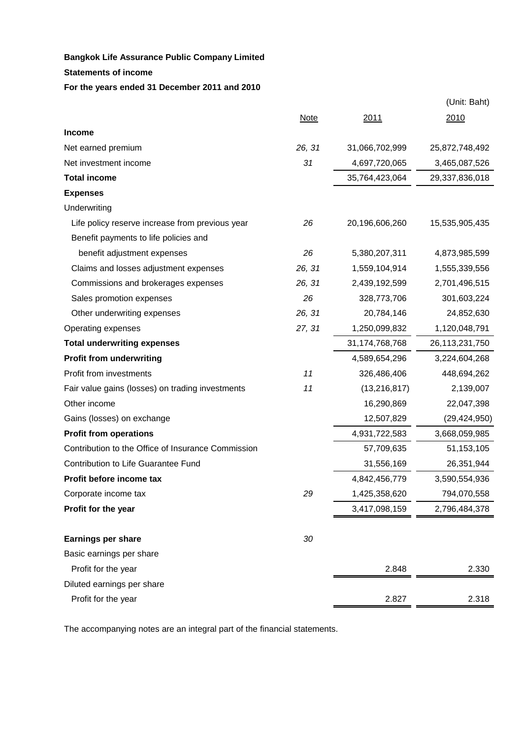**Statements of income** 

#### **For the years ended 31 December 2011 and 2010**

|                                                    |             |                | (Unit: Baht)   |
|----------------------------------------------------|-------------|----------------|----------------|
|                                                    | <b>Note</b> | 2011           | 2010           |
| <b>Income</b>                                      |             |                |                |
| Net earned premium                                 | 26, 31      | 31,066,702,999 | 25,872,748,492 |
| Net investment income                              | 31          | 4,697,720,065  | 3,465,087,526  |
| <b>Total income</b>                                |             | 35,764,423,064 | 29,337,836,018 |
| <b>Expenses</b>                                    |             |                |                |
| Underwriting                                       |             |                |                |
| Life policy reserve increase from previous year    | 26          | 20,196,606,260 | 15,535,905,435 |
| Benefit payments to life policies and              |             |                |                |
| benefit adjustment expenses                        | 26          | 5,380,207,311  | 4,873,985,599  |
| Claims and losses adjustment expenses              | 26, 31      | 1,559,104,914  | 1,555,339,556  |
| Commissions and brokerages expenses                | 26, 31      | 2,439,192,599  | 2,701,496,515  |
| Sales promotion expenses                           | 26          | 328,773,706    | 301,603,224    |
| Other underwriting expenses                        | 26, 31      | 20,784,146     | 24,852,630     |
| Operating expenses                                 | 27, 31      | 1,250,099,832  | 1,120,048,791  |
| <b>Total underwriting expenses</b>                 |             | 31,174,768,768 | 26,113,231,750 |
| <b>Profit from underwriting</b>                    |             | 4,589,654,296  | 3,224,604,268  |
| Profit from investments                            | 11          | 326,486,406    | 448,694,262    |
| Fair value gains (losses) on trading investments   | 11          | (13, 216, 817) | 2,139,007      |
| Other income                                       |             | 16,290,869     | 22,047,398     |
| Gains (losses) on exchange                         |             | 12,507,829     | (29, 424, 950) |
| <b>Profit from operations</b>                      |             | 4,931,722,583  | 3,668,059,985  |
| Contribution to the Office of Insurance Commission |             | 57,709,635     | 51, 153, 105   |
| Contribution to Life Guarantee Fund                |             | 31,556,169     | 26,351,944     |
| Profit before income tax                           |             | 4,842,456,779  | 3,590,554,936  |
| Corporate income tax                               | 29          | 1,425,358,620  | 794,070,558    |
| Profit for the year                                |             | 3,417,098,159  | 2,796,484,378  |
| <b>Earnings per share</b>                          | 30          |                |                |
| Basic earnings per share                           |             |                |                |
| Profit for the year                                |             | 2.848          | 2.330          |
| Diluted earnings per share                         |             |                |                |
| Profit for the year                                |             | 2.827          | 2.318          |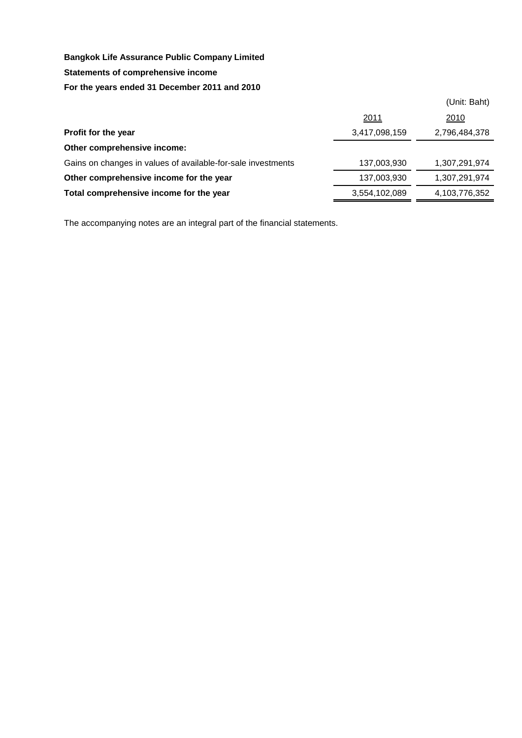#### **Statements of comprehensive income**

#### **For the years ended 31 December 2011 and 2010**

|                                                              |               | (Unit: Baht)  |
|--------------------------------------------------------------|---------------|---------------|
|                                                              | 2011          | 2010          |
| Profit for the year                                          | 3,417,098,159 | 2,796,484,378 |
| Other comprehensive income:                                  |               |               |
| Gains on changes in values of available-for-sale investments | 137,003,930   | 1,307,291,974 |
| Other comprehensive income for the year                      | 137,003,930   | 1,307,291,974 |
| Total comprehensive income for the year                      | 3,554,102,089 | 4,103,776,352 |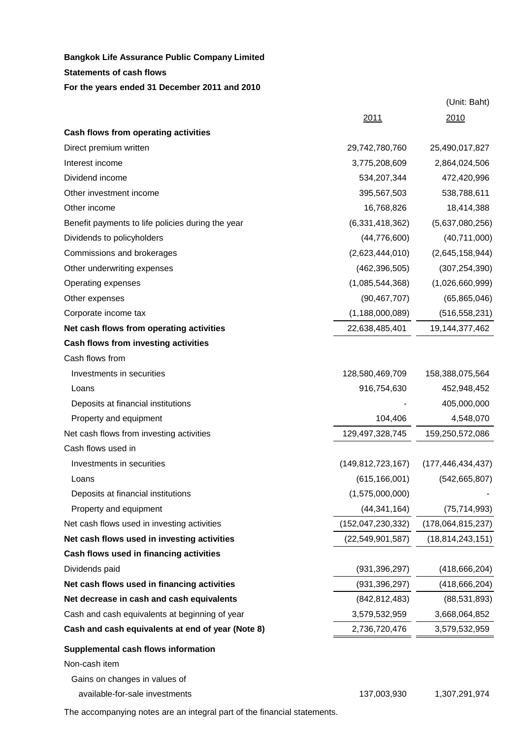# **Statements of cash flows Bangkok Life Assurance Public Company Limited**

**For the years ended 31 December 2011 and 2010**

|                                                   | 2011                 | 2010                 |
|---------------------------------------------------|----------------------|----------------------|
| Cash flows from operating activities              |                      |                      |
| Direct premium written                            | 29,742,780,760       | 25,490,017,827       |
| Interest income                                   | 3,775,208,609        | 2,864,024,506        |
| Dividend income                                   | 534,207,344          | 472,420,996          |
| Other investment income                           | 395,567,503          | 538,788,611          |
| Other income                                      | 16,768,826           | 18,414,388           |
| Benefit payments to life policies during the year | (6,331,418,362)      | (5,637,080,256)      |
| Dividends to policyholders                        | (44, 776, 600)       | (40,711,000)         |
| Commissions and brokerages                        | (2,623,444,010)      | (2,645,158,944)      |
| Other underwriting expenses                       | (462, 396, 505)      | (307, 254, 390)      |
| Operating expenses                                | (1,085,544,368)      | (1,026,660,999)      |
| Other expenses                                    | (90, 467, 707)       | (65, 865, 046)       |
| Corporate income tax                              | (1, 188, 000, 089)   | (516, 558, 231)      |
| Net cash flows from operating activities          | 22,638,485,401       | 19,144,377,462       |
| Cash flows from investing activities              |                      |                      |
| Cash flows from                                   |                      |                      |
| Investments in securities                         | 128,580,469,709      | 158,388,075,564      |
| Loans                                             | 916,754,630          | 452,948,452          |
| Deposits at financial institutions                |                      | 405,000,000          |
| Property and equipment                            | 104,406              | 4,548,070            |
| Net cash flows from investing activities          | 129,497,328,745      | 159,250,572,086      |
| Cash flows used in                                |                      |                      |
| Investments in securities                         | (149, 812, 723, 167) | (177, 446, 434, 437) |
| Loans                                             | (615, 166, 001)      | (542, 665, 807)      |
| Deposits at financial institutions                | (1,575,000,000)      |                      |
| Property and equipment                            | (44, 341, 164)       | (75, 714, 993)       |
| Net cash flows used in investing activities       | (152, 047, 230, 332) | (178,064,815,237)    |
| Net cash flows used in investing activities       | (22, 549, 901, 587)  | (18, 814, 243, 151)  |
| Cash flows used in financing activities           |                      |                      |
| Dividends paid                                    | (931, 396, 297)      | (418, 666, 204)      |
| Net cash flows used in financing activities       | (931, 396, 297)      | (418, 666, 204)      |
| Net decrease in cash and cash equivalents         | (842, 812, 483)      | (88, 531, 893)       |
| Cash and cash equivalents at beginning of year    | 3,579,532,959        | 3,668,064,852        |
| Cash and cash equivalents at end of year (Note 8) | 2,736,720,476        | 3,579,532,959        |
| Supplemental cash flows information               |                      |                      |
| Non-cash item                                     |                      |                      |
| Gains on changes in values of                     |                      |                      |
| available-for-sale investments                    | 137,003,930          | 1,307,291,974        |

(Unit: Baht)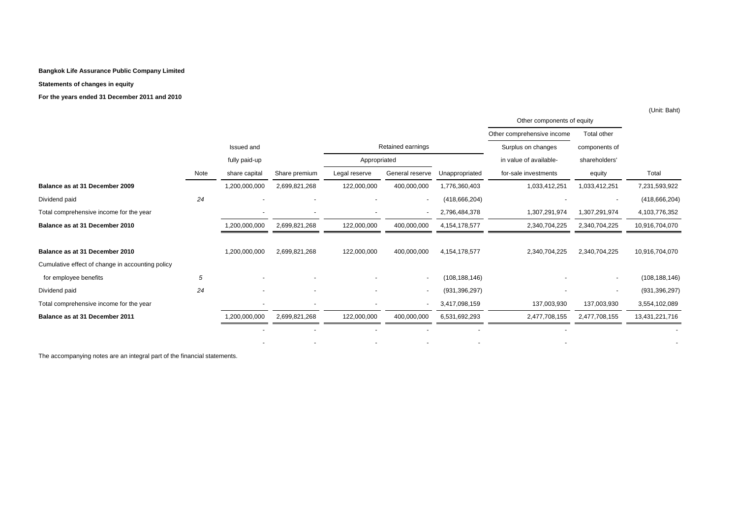#### **Statements of changes in equity**

**For the years ended 31 December 2011 and 2010**

|                                                  |      |                          |                          |                          | Other components of equity |                  |                            |                          |                 |
|--------------------------------------------------|------|--------------------------|--------------------------|--------------------------|----------------------------|------------------|----------------------------|--------------------------|-----------------|
|                                                  |      |                          |                          |                          |                            |                  | Other comprehensive income | Total other              |                 |
|                                                  |      | Issued and               |                          | Retained earnings        |                            |                  | Surplus on changes         | components of            |                 |
|                                                  |      | fully paid-up            |                          | Appropriated             |                            |                  | in value of available-     | shareholders'            |                 |
|                                                  | Note | share capital            | Share premium            | Legal reserve            | General reserve            | Unappropriated   | for-sale investments       | equity                   | Total           |
| Balance as at 31 December 2009                   |      | 1,200,000,000            | 2,699,821,268            | 122,000,000              | 400,000,000                | 1,776,360,403    | 1,033,412,251              | 1,033,412,251            | 7,231,593,922   |
| Dividend paid                                    | 24   |                          |                          |                          | $\sim$                     | (418, 666, 204)  |                            | $\overline{\phantom{a}}$ | (418, 666, 204) |
| Total comprehensive income for the year          |      |                          | $\overline{\phantom{a}}$ |                          | $\overline{\phantom{a}}$   | 2,796,484,378    | 1,307,291,974              | 1,307,291,974            | 4,103,776,352   |
| Balance as at 31 December 2010                   |      | 1,200,000,000            | 2,699,821,268            | 122,000,000              | 400,000,000                | 4, 154, 178, 577 | 2,340,704,225              | 2,340,704,225            | 10,916,704,070  |
| Balance as at 31 December 2010                   |      | 1,200,000,000            | 2,699,821,268            | 122,000,000              | 400,000,000                | 4,154,178,577    | 2,340,704,225              | 2,340,704,225            | 10,916,704,070  |
| Cumulative effect of change in accounting policy |      |                          |                          |                          |                            |                  |                            |                          |                 |
| for employee benefits                            | 5    |                          |                          |                          | $\overline{\phantom{a}}$   | (108, 188, 146)  |                            |                          | (108, 188, 146) |
| Dividend paid                                    | 24   | $\overline{\phantom{a}}$ | $\overline{\phantom{a}}$ | $\overline{\phantom{a}}$ | $\overline{a}$             | (931, 396, 297)  |                            | $\overline{\phantom{a}}$ | (931, 396, 297) |
| Total comprehensive income for the year          |      |                          | $\overline{\phantom{a}}$ |                          | $\overline{\phantom{a}}$   | 3,417,098,159    | 137,003,930                | 137,003,930              | 3,554,102,089   |
| Balance as at 31 December 2011                   |      | 1,200,000,000            | 2,699,821,268            | 122,000,000              | 400,000,000                | 6,531,692,293    | 2,477,708,155              | 2,477,708,155            | 13,431,221,716  |
|                                                  |      |                          |                          |                          |                            |                  |                            |                          |                 |
|                                                  |      |                          |                          |                          |                            |                  |                            |                          |                 |

(Unit: Baht)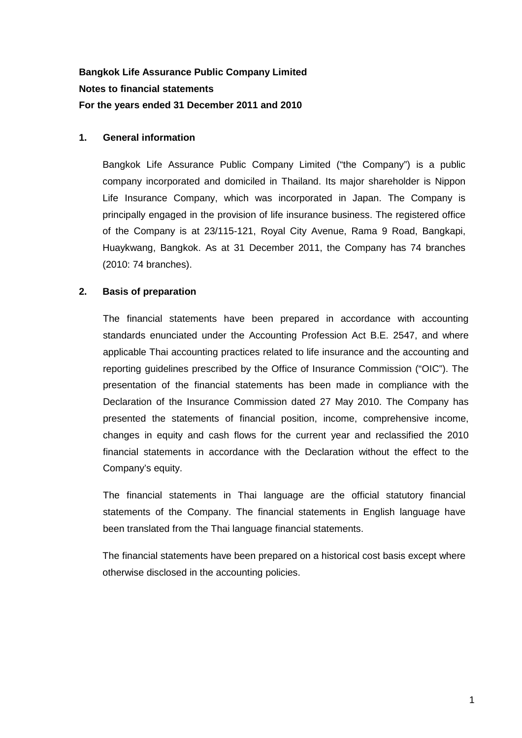# **Bangkok Life Assurance Public Company Limited Notes to financial statements For the years ended 31 December 2011 and 2010**

# **1. General information**

Bangkok Life Assurance Public Company Limited ("the Company") is a public company incorporated and domiciled in Thailand. Its major shareholder is Nippon Life Insurance Company, which was incorporated in Japan. The Company is principally engaged in the provision of life insurance business. The registered office of the Company is at 23/115-121, Royal City Avenue, Rama 9 Road, Bangkapi, Huaykwang, Bangkok. As at 31 December 2011, the Company has 74 branches (2010: 74 branches).

# **2. Basis of preparation**

The financial statements have been prepared in accordance with accounting standards enunciated under the Accounting Profession Act B.E. 2547, and where applicable Thai accounting practices related to life insurance and the accounting and reporting guidelines prescribed by the Office of Insurance Commission ("OIC"). The presentation of the financial statements has been made in compliance with the Declaration of the Insurance Commission dated 27 May 2010. The Company has presented the statements of financial position, income, comprehensive income, changes in equity and cash flows for the current year and reclassified the 2010 financial statements in accordance with the Declaration without the effect to the Company's equity.

The financial statements in Thai language are the official statutory financial statements of the Company. The financial statements in English language have been translated from the Thai language financial statements.

The financial statements have been prepared on a historical cost basis except where otherwise disclosed in the accounting policies.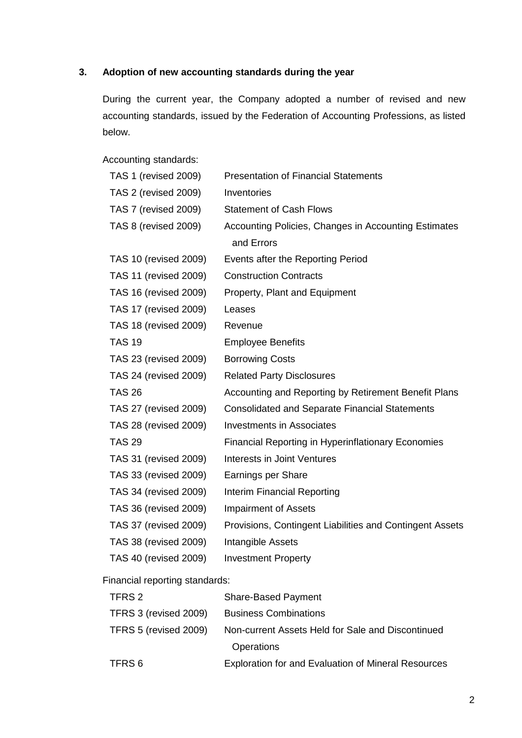# **3. Adoption of new accounting standards during the year**

During the current year, the Company adopted a number of revised and new accounting standards, issued by the Federation of Accounting Professions, as listed below.

Accounting standards:

| TAS 1 (revised 2009)         | <b>Presentation of Financial Statements</b>               |
|------------------------------|-----------------------------------------------------------|
| <b>TAS 2 (revised 2009)</b>  | Inventories                                               |
| TAS 7 (revised 2009)         | <b>Statement of Cash Flows</b>                            |
| <b>TAS 8 (revised 2009)</b>  | Accounting Policies, Changes in Accounting Estimates      |
|                              | and Errors                                                |
| TAS 10 (revised 2009)        | Events after the Reporting Period                         |
| TAS 11 (revised 2009)        | <b>Construction Contracts</b>                             |
| TAS 16 (revised 2009)        | Property, Plant and Equipment                             |
| TAS 17 (revised 2009)        | Leases                                                    |
| TAS 18 (revised 2009)        | Revenue                                                   |
| <b>TAS 19</b>                | <b>Employee Benefits</b>                                  |
| TAS 23 (revised 2009)        | <b>Borrowing Costs</b>                                    |
| <b>TAS 24 (revised 2009)</b> | <b>Related Party Disclosures</b>                          |
| <b>TAS 26</b>                | Accounting and Reporting by Retirement Benefit Plans      |
| TAS 27 (revised 2009)        | <b>Consolidated and Separate Financial Statements</b>     |
| TAS 28 (revised 2009)        | <b>Investments in Associates</b>                          |
| <b>TAS 29</b>                | <b>Financial Reporting in Hyperinflationary Economies</b> |
| TAS 31 (revised 2009)        | Interests in Joint Ventures                               |
| TAS 33 (revised 2009)        | Earnings per Share                                        |
| TAS 34 (revised 2009)        | Interim Financial Reporting                               |
| TAS 36 (revised 2009)        | <b>Impairment of Assets</b>                               |
| TAS 37 (revised 2009)        | Provisions, Contingent Liabilities and Contingent Assets  |
| TAS 38 (revised 2009)        | Intangible Assets                                         |
| TAS 40 (revised 2009)        | <b>Investment Property</b>                                |

Financial reporting standards:

| TFRS 2                | <b>Share-Based Payment</b>                                 |
|-----------------------|------------------------------------------------------------|
| TFRS 3 (revised 2009) | <b>Business Combinations</b>                               |
| TFRS 5 (revised 2009) | Non-current Assets Held for Sale and Discontinued          |
|                       | <b>Operations</b>                                          |
| TFRS 6                | <b>Exploration for and Evaluation of Mineral Resources</b> |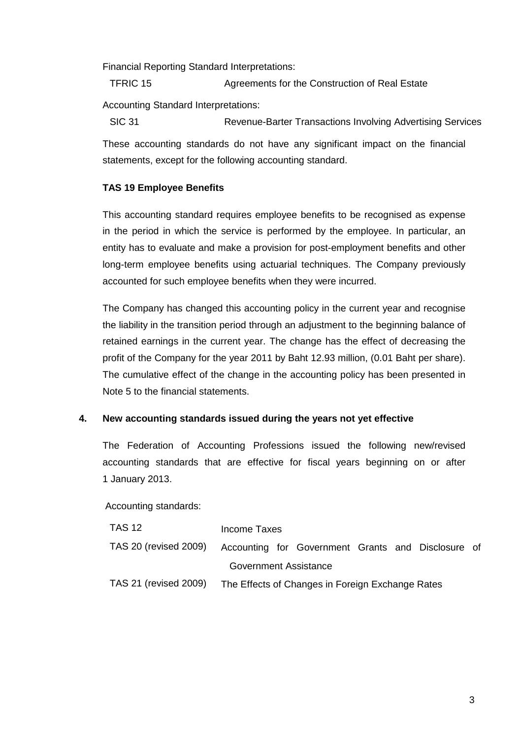Financial Reporting Standard Interpretations:

TFRIC 15 Agreements for the Construction of Real Estate

Accounting Standard Interpretations:

SIC 31 Revenue-Barter Transactions Involving Advertising Services These accounting standards do not have any significant impact on the financial statements, except for the following accounting standard.

# **TAS 19 Employee Benefits**

This accounting standard requires employee benefits to be recognised as expense in the period in which the service is performed by the employee. In particular, an entity has to evaluate and make a provision for post-employment benefits and other long-term employee benefits using actuarial techniques. The Company previously accounted for such employee benefits when they were incurred.

The Company has changed this accounting policy in the current year and recognise the liability in the transition period through an adjustment to the beginning balance of retained earnings in the current year. The change has the effect of decreasing the profit of the Company for the year 2011 by Baht 12.93 million, (0.01 Baht per share). The cumulative effect of the change in the accounting policy has been presented in Note 5 to the financial statements.

# **4. New accounting standards issued during the years not yet effective**

The Federation of Accounting Professions issued the following new/revised accounting standards that are effective for fiscal years beginning on or after 1 January 2013.

Accounting standards:

| <b>TAS 12</b>                | Income Taxes                                     |  |                                                    |  |  |  |  |
|------------------------------|--------------------------------------------------|--|----------------------------------------------------|--|--|--|--|
| <b>TAS 20 (revised 2009)</b> |                                                  |  | Accounting for Government Grants and Disclosure of |  |  |  |  |
|                              | Government Assistance                            |  |                                                    |  |  |  |  |
| <b>TAS 21 (revised 2009)</b> | The Effects of Changes in Foreign Exchange Rates |  |                                                    |  |  |  |  |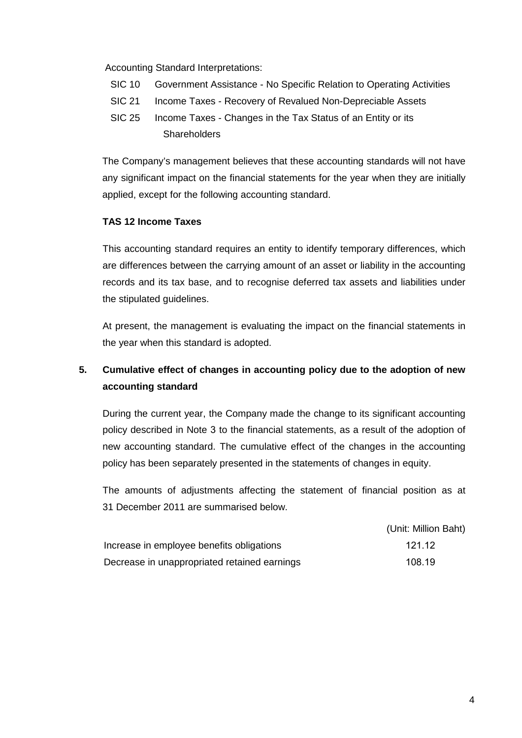Accounting Standard Interpretations:

- SIC 10 Government Assistance No Specific Relation to Operating Activities
- SIC 21 Income Taxes Recovery of Revalued Non-Depreciable Assets
- SIC 25 Income Taxes Changes in the Tax Status of an Entity or its **Shareholders**

The Company's management believes that these accounting standards will not have any significant impact on the financial statements for the year when they are initially applied, except for the following accounting standard.

# **TAS 12 Income Taxes**

This accounting standard requires an entity to identify temporary differences, which are differences between the carrying amount of an asset or liability in the accounting records and its tax base, and to recognise deferred tax assets and liabilities under the stipulated guidelines.

At present, the management is evaluating the impact on the financial statements in the year when this standard is adopted.

# **5. Cumulative effect of changes in accounting policy due to the adoption of new accounting standard**

During the current year, the Company made the change to its significant accounting policy described in Note 3 to the financial statements, as a result of the adoption of new accounting standard. The cumulative effect of the changes in the accounting policy has been separately presented in the statements of changes in equity.

The amounts of adjustments affecting the statement of financial position as at 31 December 2011 are summarised below.

|                                              | (Unit: Million Baht) |
|----------------------------------------------|----------------------|
| Increase in employee benefits obligations    | 121.12               |
| Decrease in unappropriated retained earnings | 108.19               |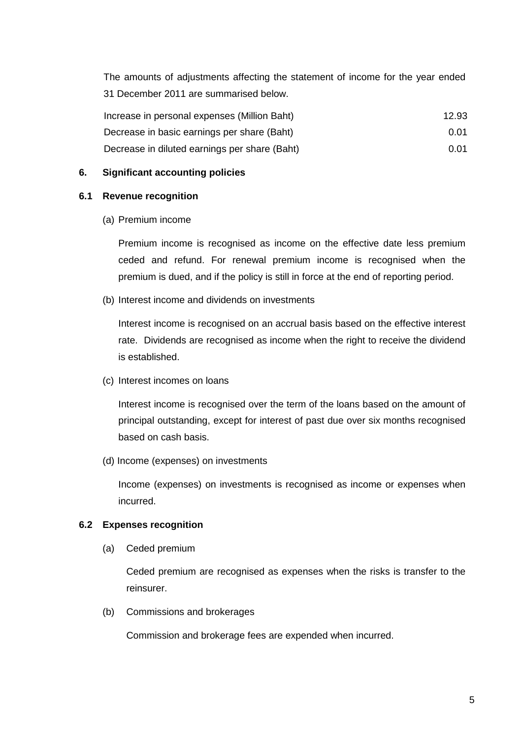The amounts of adjustments affecting the statement of income for the year ended 31 December 2011 are summarised below.

| Increase in personal expenses (Million Baht)  | 12.93 |
|-----------------------------------------------|-------|
| Decrease in basic earnings per share (Baht)   | 0.01  |
| Decrease in diluted earnings per share (Baht) | 0.01  |

## **6. Significant accounting policies**

## **6.1 Revenue recognition**

(a) Premium income

 Premium income is recognised as income on the effective date less premium ceded and refund. For renewal premium income is recognised when the premium is dued, and if the policy is still in force at the end of reporting period.

(b) Interest income and dividends on investments

 Interest income is recognised on an accrual basis based on the effective interest rate. Dividends are recognised as income when the right to receive the dividend is established.

(c) Interest incomes on loans

 Interest income is recognised over the term of the loans based on the amount of principal outstanding, except for interest of past due over six months recognised based on cash basis.

(d) Income (expenses) on investments

 Income (expenses) on investments is recognised as income or expenses when incurred.

## **6.2 Expenses recognition**

(a) Ceded premium

Ceded premium are recognised as expenses when the risks is transfer to the reinsurer.

(b) Commissions and brokerages

Commission and brokerage fees are expended when incurred.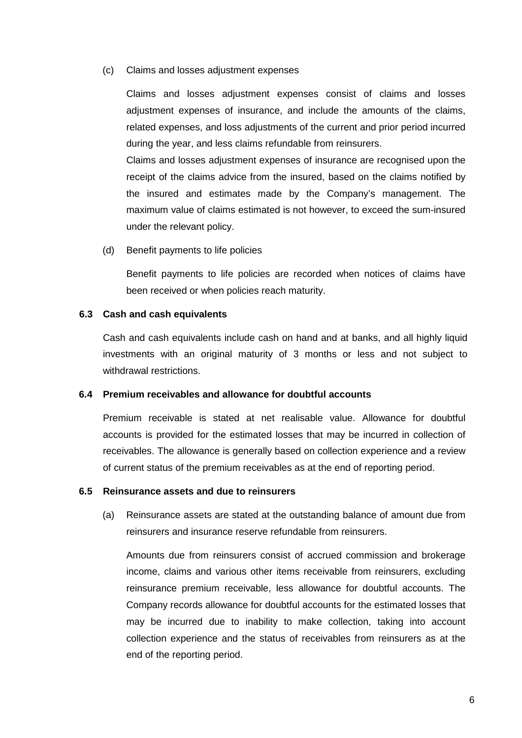#### (c) Claims and losses adjustment expenses

Claims and losses adjustment expenses consist of claims and losses adjustment expenses of insurance, and include the amounts of the claims, related expenses, and loss adjustments of the current and prior period incurred during the year, and less claims refundable from reinsurers.

Claims and losses adjustment expenses of insurance are recognised upon the receipt of the claims advice from the insured, based on the claims notified by the insured and estimates made by the Company's management. The maximum value of claims estimated is not however, to exceed the sum-insured under the relevant policy.

(d) Benefit payments to life policies

Benefit payments to life policies are recorded when notices of claims have been received or when policies reach maturity.

#### **6.3 Cash and cash equivalents**

 Cash and cash equivalents include cash on hand and at banks, and all highly liquid investments with an original maturity of 3 months or less and not subject to withdrawal restrictions.

#### **6.4 Premium receivables and allowance for doubtful accounts**

Premium receivable is stated at net realisable value. Allowance for doubtful accounts is provided for the estimated losses that may be incurred in collection of receivables. The allowance is generally based on collection experience and a review of current status of the premium receivables as at the end of reporting period.

## **6.5 Reinsurance assets and due to reinsurers**

(a) Reinsurance assets are stated at the outstanding balance of amount due from reinsurers and insurance reserve refundable from reinsurers.

Amounts due from reinsurers consist of accrued commission and brokerage income, claims and various other items receivable from reinsurers, excluding reinsurance premium receivable, less allowance for doubtful accounts. The Company records allowance for doubtful accounts for the estimated losses that may be incurred due to inability to make collection, taking into account collection experience and the status of receivables from reinsurers as at the end of the reporting period.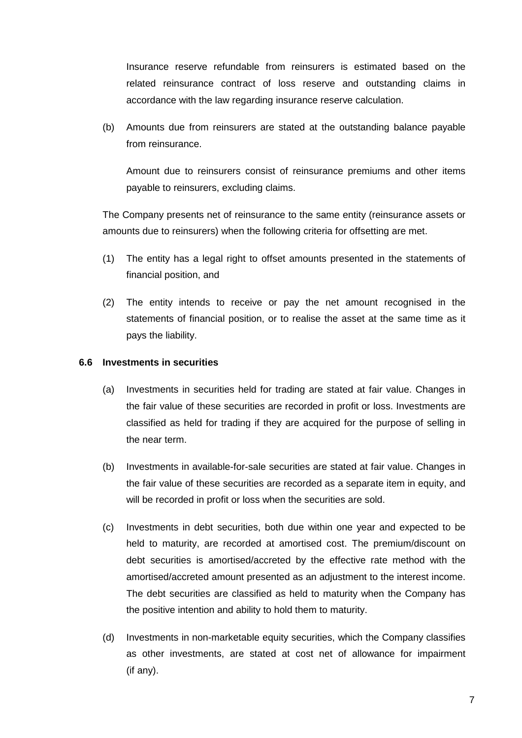Insurance reserve refundable from reinsurers is estimated based on the related reinsurance contract of loss reserve and outstanding claims in accordance with the law regarding insurance reserve calculation.

(b) Amounts due from reinsurers are stated at the outstanding balance payable from reinsurance.

Amount due to reinsurers consist of reinsurance premiums and other items payable to reinsurers, excluding claims.

The Company presents net of reinsurance to the same entity (reinsurance assets or amounts due to reinsurers) when the following criteria for offsetting are met.

- (1) The entity has a legal right to offset amounts presented in the statements of financial position, and
- (2) The entity intends to receive or pay the net amount recognised in the statements of financial position, or to realise the asset at the same time as it pays the liability.

## **6.6 Investments in securities**

- (a) Investments in securities held for trading are stated at fair value. Changes in the fair value of these securities are recorded in profit or loss. Investments are classified as held for trading if they are acquired for the purpose of selling in the near term.
- (b) Investments in available-for-sale securities are stated at fair value. Changes in the fair value of these securities are recorded as a separate item in equity, and will be recorded in profit or loss when the securities are sold.
- (c) Investments in debt securities, both due within one year and expected to be held to maturity, are recorded at amortised cost. The premium/discount on debt securities is amortised/accreted by the effective rate method with the amortised/accreted amount presented as an adjustment to the interest income. The debt securities are classified as held to maturity when the Company has the positive intention and ability to hold them to maturity.
- (d) Investments in non-marketable equity securities, which the Company classifies as other investments, are stated at cost net of allowance for impairment (if any).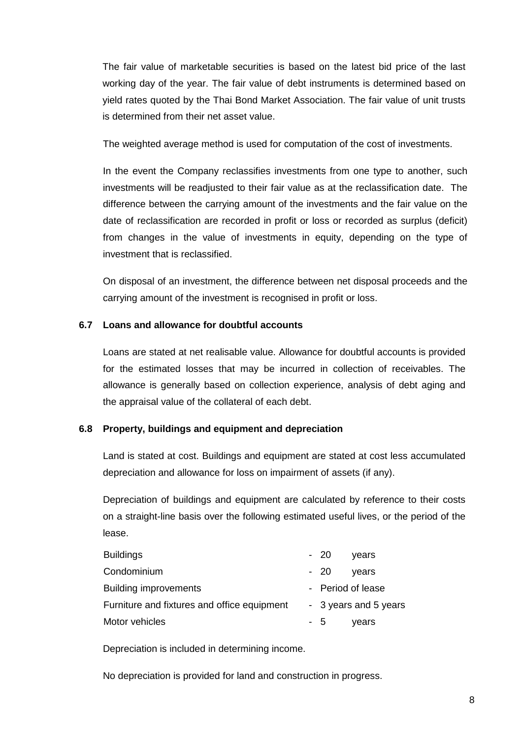The fair value of marketable securities is based on the latest bid price of the last working day of the year. The fair value of debt instruments is determined based on yield rates quoted by the Thai Bond Market Association. The fair value of unit trusts is determined from their net asset value.

The weighted average method is used for computation of the cost of investments.

In the event the Company reclassifies investments from one type to another, such investments will be readjusted to their fair value as at the reclassification date. The difference between the carrying amount of the investments and the fair value on the date of reclassification are recorded in profit or loss or recorded as surplus (deficit) from changes in the value of investments in equity, depending on the type of investment that is reclassified.

 On disposal of an investment, the difference between net disposal proceeds and the carrying amount of the investment is recognised in profit or loss.

# **6.7 Loans and allowance for doubtful accounts**

Loans are stated at net realisable value. Allowance for doubtful accounts is provided for the estimated losses that may be incurred in collection of receivables. The allowance is generally based on collection experience, analysis of debt aging and the appraisal value of the collateral of each debt.

# **6.8 Property, buildings and equipment and depreciation**

 Land is stated at cost. Buildings and equipment are stated at cost less accumulated depreciation and allowance for loss on impairment of assets (if any).

 Depreciation of buildings and equipment are calculated by reference to their costs on a straight-line basis over the following estimated useful lives, or the period of the lease.

| Buildings                                   | - 20 | vears                 |
|---------------------------------------------|------|-----------------------|
| Condominium                                 | - 20 | vears                 |
| <b>Building improvements</b>                |      | - Period of lease     |
| Furniture and fixtures and office equipment |      | - 3 years and 5 years |
| Motor vehicles                              | - 5  | years                 |

Depreciation is included in determining income.

No depreciation is provided for land and construction in progress.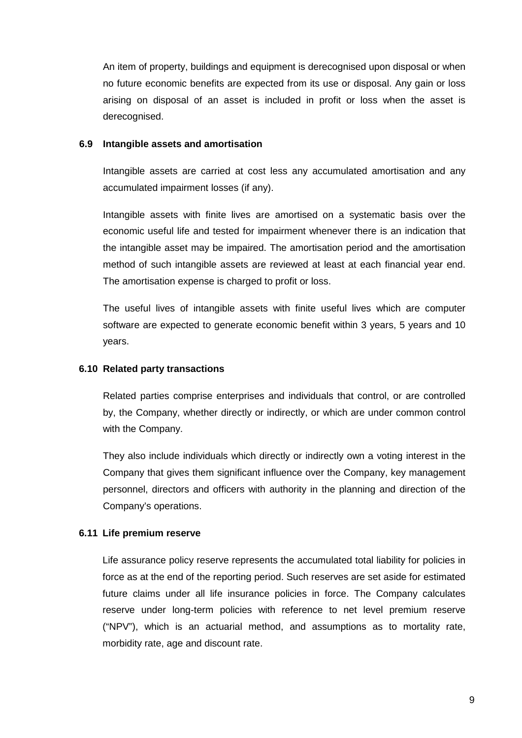An item of property, buildings and equipment is derecognised upon disposal or when no future economic benefits are expected from its use or disposal. Any gain or loss arising on disposal of an asset is included in profit or loss when the asset is derecognised.

#### **6.9 Intangible assets and amortisation**

Intangible assets are carried at cost less any accumulated amortisation and any accumulated impairment losses (if any).

Intangible assets with finite lives are amortised on a systematic basis over the economic useful life and tested for impairment whenever there is an indication that the intangible asset may be impaired. The amortisation period and the amortisation method of such intangible assets are reviewed at least at each financial year end. The amortisation expense is charged to profit or loss.

The useful lives of intangible assets with finite useful lives which are computer software are expected to generate economic benefit within 3 years, 5 years and 10 years.

## **6.10 Related party transactions**

Related parties comprise enterprises and individuals that control, or are controlled by, the Company, whether directly or indirectly, or which are under common control with the Company.

 They also include individuals which directly or indirectly own a voting interest in the Company that gives them significant influence over the Company, key management personnel, directors and officers with authority in the planning and direction of the Company's operations.

## **6.11 Life premium reserve**

 Life assurance policy reserve represents the accumulated total liability for policies in force as at the end of the reporting period. Such reserves are set aside for estimated future claims under all life insurance policies in force. The Company calculates reserve under long-term policies with reference to net level premium reserve ("NPV"), which is an actuarial method, and assumptions as to mortality rate, morbidity rate, age and discount rate.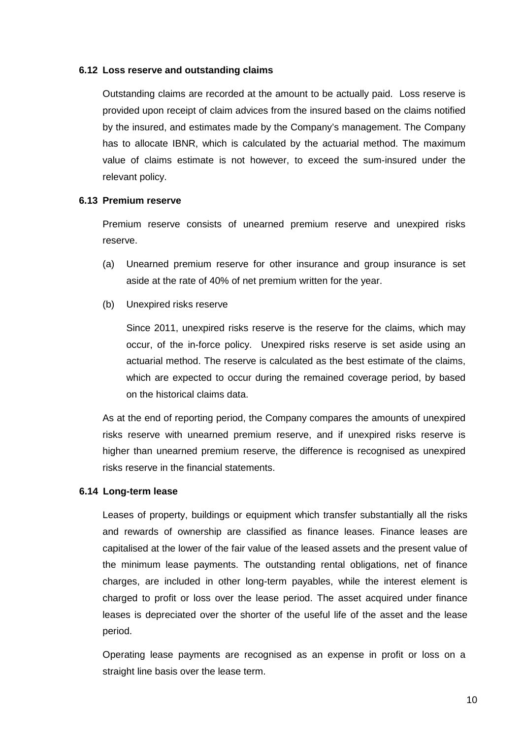#### **6.12 Loss reserve and outstanding claims**

Outstanding claims are recorded at the amount to be actually paid. Loss reserve is provided upon receipt of claim advices from the insured based on the claims notified by the insured, and estimates made by the Company's management. The Company has to allocate IBNR, which is calculated by the actuarial method. The maximum value of claims estimate is not however, to exceed the sum-insured under the relevant policy.

#### **6.13 Premium reserve**

Premium reserve consists of unearned premium reserve and unexpired risks reserve.

- (a) Unearned premium reserve for other insurance and group insurance is set aside at the rate of 40% of net premium written for the year.
- (b) Unexpired risks reserve

Since 2011, unexpired risks reserve is the reserve for the claims, which may occur, of the in-force policy. Unexpired risks reserve is set aside using an actuarial method. The reserve is calculated as the best estimate of the claims, which are expected to occur during the remained coverage period, by based on the historical claims data.

As at the end of reporting period, the Company compares the amounts of unexpired risks reserve with unearned premium reserve, and if unexpired risks reserve is higher than unearned premium reserve, the difference is recognised as unexpired risks reserve in the financial statements.

## **6.14 Long-term lease**

 Leases of property, buildings or equipment which transfer substantially all the risks and rewards of ownership are classified as finance leases. Finance leases are capitalised at the lower of the fair value of the leased assets and the present value of the minimum lease payments. The outstanding rental obligations, net of finance charges, are included in other long-term payables, while the interest element is charged to profit or loss over the lease period. The asset acquired under finance leases is depreciated over the shorter of the useful life of the asset and the lease period.

Operating lease payments are recognised as an expense in profit or loss on a straight line basis over the lease term.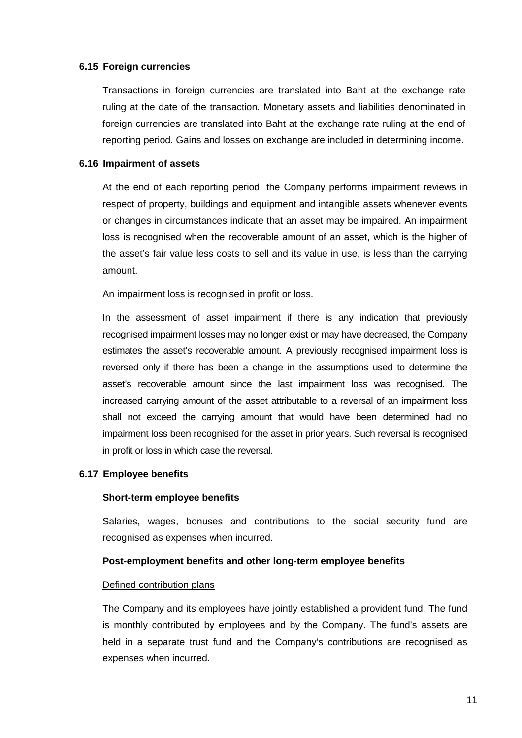#### **6.15 Foreign currencies**

 Transactions in foreign currencies are translated into Baht at the exchange rate ruling at the date of the transaction. Monetary assets and liabilities denominated in foreign currencies are translated into Baht at the exchange rate ruling at the end of reporting period. Gains and losses on exchange are included in determining income.

#### **6.16 Impairment of assets**

 At the end of each reporting period, the Company performs impairment reviews in respect of property, buildings and equipment and intangible assets whenever events or changes in circumstances indicate that an asset may be impaired. An impairment loss is recognised when the recoverable amount of an asset, which is the higher of the asset's fair value less costs to sell and its value in use, is less than the carrying amount.

An impairment loss is recognised in profit or loss.

 In the assessment of asset impairment if there is any indication that previously recognised impairment losses may no longer exist or may have decreased, the Company estimates the asset's recoverable amount. A previously recognised impairment loss is reversed only if there has been a change in the assumptions used to determine the asset's recoverable amount since the last impairment loss was recognised. The increased carrying amount of the asset attributable to a reversal of an impairment loss shall not exceed the carrying amount that would have been determined had no impairment loss been recognised for the asset in prior years. Such reversal is recognised in profit or loss in which case the reversal.

#### **6.17 Employee benefits**

#### **Short-term employee benefits**

 Salaries, wages, bonuses and contributions to the social security fund are recognised as expenses when incurred.

#### **Post-employment benefits and other long-term employee benefits**

#### Defined contribution plans

 The Company and its employees have jointly established a provident fund. The fund is monthly contributed by employees and by the Company. The fund's assets are held in a separate trust fund and the Company's contributions are recognised as expenses when incurred.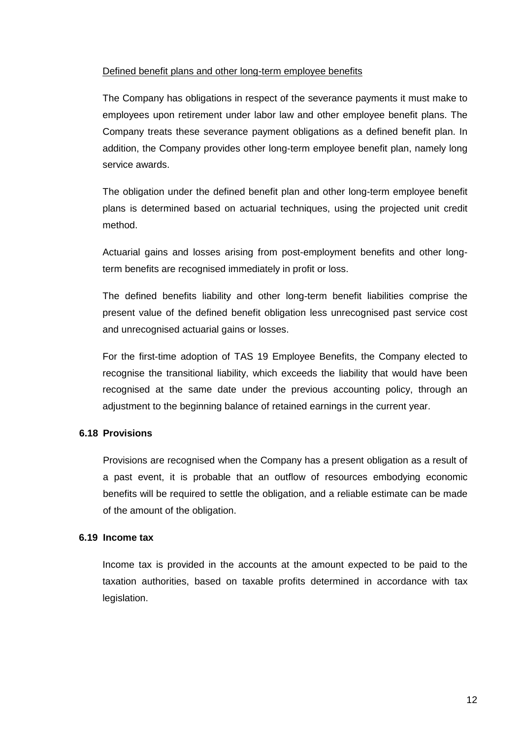## Defined benefit plans and other long-term employee benefits

 The Company has obligations in respect of the severance payments it must make to employees upon retirement under labor law and other employee benefit plans. The Company treats these severance payment obligations as a defined benefit plan. In addition, the Company provides other long-term employee benefit plan, namely long service awards.

 The obligation under the defined benefit plan and other long-term employee benefit plans is determined based on actuarial techniques, using the projected unit credit method.

 Actuarial gains and losses arising from post-employment benefits and other longterm benefits are recognised immediately in profit or loss.

 The defined benefits liability and other long-term benefit liabilities comprise the present value of the defined benefit obligation less unrecognised past service cost and unrecognised actuarial gains or losses.

 For the first-time adoption of TAS 19 Employee Benefits, the Company elected to recognise the transitional liability, which exceeds the liability that would have been recognised at the same date under the previous accounting policy, through an adjustment to the beginning balance of retained earnings in the current year.

# **6.18 Provisions**

 Provisions are recognised when the Company has a present obligation as a result of a past event, it is probable that an outflow of resources embodying economic benefits will be required to settle the obligation, and a reliable estimate can be made of the amount of the obligation.

## **6.19 Income tax**

 Income tax is provided in the accounts at the amount expected to be paid to the taxation authorities, based on taxable profits determined in accordance with tax legislation.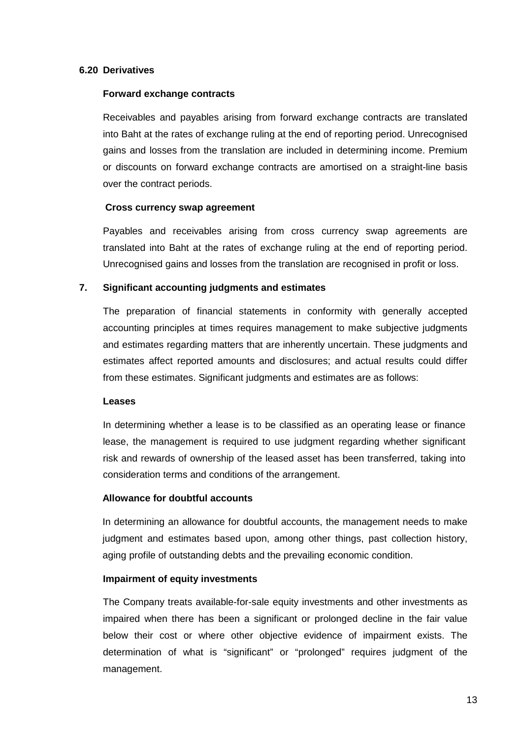## **6.20 Derivatives**

#### **Forward exchange contracts**

 Receivables and payables arising from forward exchange contracts are translated into Baht at the rates of exchange ruling at the end of reporting period. Unrecognised gains and losses from the translation are included in determining income. Premium or discounts on forward exchange contracts are amortised on a straight-line basis over the contract periods.

## **Cross currency swap agreement**

 Payables and receivables arising from cross currency swap agreements are translated into Baht at the rates of exchange ruling at the end of reporting period. Unrecognised gains and losses from the translation are recognised in profit or loss.

## **7. Significant accounting judgments and estimates**

 The preparation of financial statements in conformity with generally accepted accounting principles at times requires management to make subjective judgments and estimates regarding matters that are inherently uncertain. These judgments and estimates affect reported amounts and disclosures; and actual results could differ from these estimates. Significant judgments and estimates are as follows:

## **Leases**

In determining whether a lease is to be classified as an operating lease or finance lease, the management is required to use judgment regarding whether significant risk and rewards of ownership of the leased asset has been transferred, taking into consideration terms and conditions of the arrangement.

## **Allowance for doubtful accounts**

 In determining an allowance for doubtful accounts, the management needs to make judgment and estimates based upon, among other things, past collection history, aging profile of outstanding debts and the prevailing economic condition.

## **Impairment of equity investments**

 The Company treats available-for-sale equity investments and other investments as impaired when there has been a significant or prolonged decline in the fair value below their cost or where other objective evidence of impairment exists. The determination of what is "significant" or "prolonged" requires judgment of the management.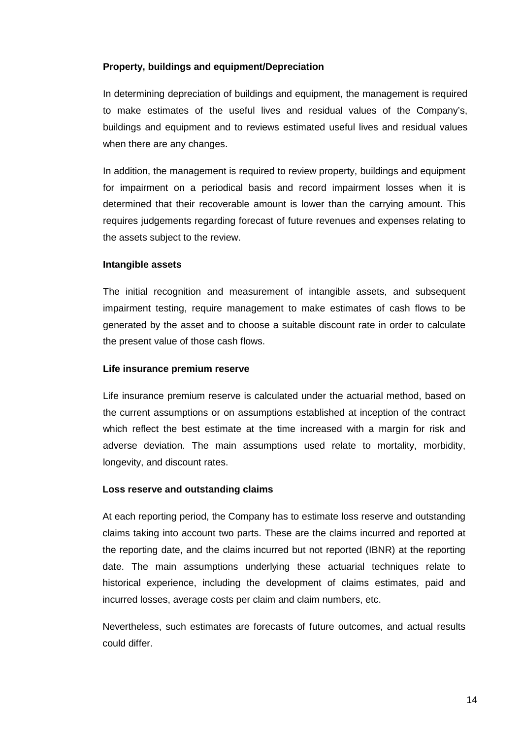### **Property, buildings and equipment/Depreciation**

 In determining depreciation of buildings and equipment, the management is required to make estimates of the useful lives and residual values of the Company's, buildings and equipment and to reviews estimated useful lives and residual values when there are any changes.

In addition, the management is required to review property, buildings and equipment for impairment on a periodical basis and record impairment losses when it is determined that their recoverable amount is lower than the carrying amount. This requires judgements regarding forecast of future revenues and expenses relating to the assets subject to the review.

#### **Intangible assets**

The initial recognition and measurement of intangible assets, and subsequent impairment testing, require management to make estimates of cash flows to be generated by the asset and to choose a suitable discount rate in order to calculate the present value of those cash flows.

#### **Life insurance premium reserve**

Life insurance premium reserve is calculated under the actuarial method, based on the current assumptions or on assumptions established at inception of the contract which reflect the best estimate at the time increased with a margin for risk and adverse deviation. The main assumptions used relate to mortality, morbidity, longevity, and discount rates.

#### **Loss reserve and outstanding claims**

At each reporting period, the Company has to estimate loss reserve and outstanding claims taking into account two parts. These are the claims incurred and reported at the reporting date, and the claims incurred but not reported (IBNR) at the reporting date. The main assumptions underlying these actuarial techniques relate to historical experience, including the development of claims estimates, paid and incurred losses, average costs per claim and claim numbers, etc.

Nevertheless, such estimates are forecasts of future outcomes, and actual results could differ.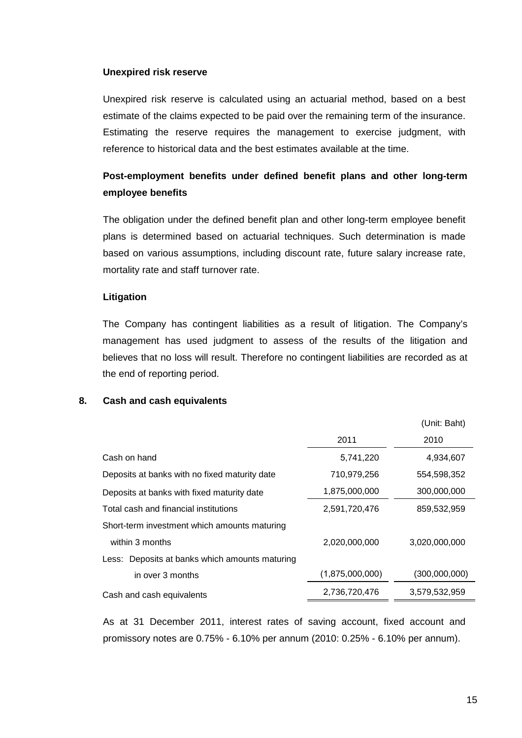### **Unexpired risk reserve**

Unexpired risk reserve is calculated using an actuarial method, based on a best estimate of the claims expected to be paid over the remaining term of the insurance. Estimating the reserve requires the management to exercise judgment, with reference to historical data and the best estimates available at the time.

# **Post-employment benefits under defined benefit plans and other long-term employee benefits**

The obligation under the defined benefit plan and other long-term employee benefit plans is determined based on actuarial techniques. Such determination is made based on various assumptions, including discount rate, future salary increase rate, mortality rate and staff turnover rate.

#### **Litigation**

 The Company has contingent liabilities as a result of litigation. The Company's management has used judgment to assess of the results of the litigation and believes that no loss will result. Therefore no contingent liabilities are recorded as at the end of reporting period.

## **8. Cash and cash equivalents**

|                                                |                 | (Unit: Baht)  |
|------------------------------------------------|-----------------|---------------|
|                                                | 2011            | 2010          |
| Cash on hand                                   | 5,741,220       | 4,934,607     |
| Deposits at banks with no fixed maturity date  | 710,979,256     | 554,598,352   |
| Deposits at banks with fixed maturity date     | 1,875,000,000   | 300,000,000   |
| Total cash and financial institutions          | 2,591,720,476   | 859,532,959   |
| Short-term investment which amounts maturing   |                 |               |
| within 3 months                                | 2,020,000,000   | 3,020,000,000 |
| Less: Deposits at banks which amounts maturing |                 |               |
| in over 3 months                               | (1,875,000,000) | (300,000,000) |
| Cash and cash equivalents                      | 2,736,720,476   | 3,579,532,959 |
|                                                |                 |               |

 As at 31 December 2011, interest rates of saving account, fixed account and promissory notes are 0.75% - 6.10% per annum (2010: 0.25% - 6.10% per annum).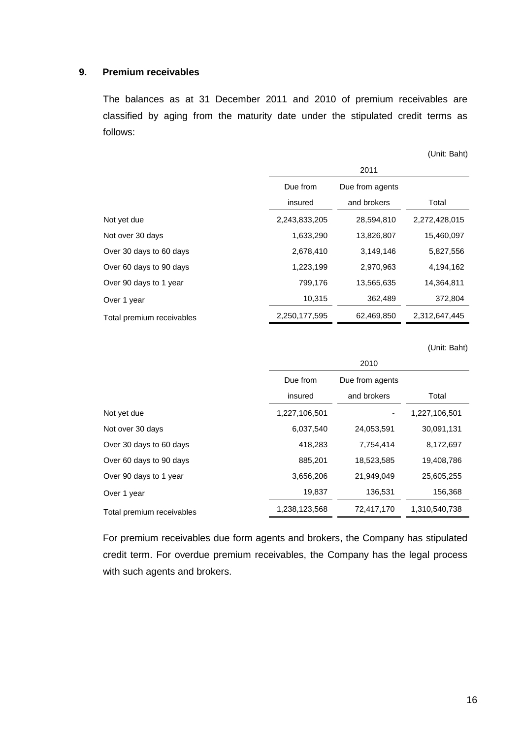#### **9. Premium receivables**

 The balances as at 31 December 2011 and 2010 of premium receivables are classified by aging from the maturity date under the stipulated credit terms as follows:

|                           |               |                 | (Unit: Baht)  |
|---------------------------|---------------|-----------------|---------------|
|                           |               | 2011            |               |
|                           | Due from      | Due from agents |               |
|                           | insured       | and brokers     | Total         |
| Not yet due               | 2,243,833,205 | 28,594,810      | 2,272,428,015 |
| Not over 30 days          | 1,633,290     | 13,826,807      | 15,460,097    |
| Over 30 days to 60 days   | 2,678,410     | 3,149,146       | 5,827,556     |
| Over 60 days to 90 days   | 1,223,199     | 2,970,963       | 4,194,162     |
| Over 90 days to 1 year    | 799,176       | 13,565,635      | 14,364,811    |
| Over 1 year               | 10,315        | 362,489         | 372,804       |
| Total premium receivables | 2,250,177,595 | 62,469,850      | 2,312,647,445 |

(Unit: Baht)

|                           | 2010          |                 |               |  |  |  |
|---------------------------|---------------|-----------------|---------------|--|--|--|
|                           | Due from      | Due from agents |               |  |  |  |
|                           | insured       | and brokers     | Total         |  |  |  |
| Not yet due               | 1,227,106,501 |                 | 1,227,106,501 |  |  |  |
| Not over 30 days          | 6,037,540     | 24,053,591      | 30,091,131    |  |  |  |
| Over 30 days to 60 days   | 418,283       | 7,754,414       | 8,172,697     |  |  |  |
| Over 60 days to 90 days   | 885,201       | 18,523,585      | 19,408,786    |  |  |  |
| Over 90 days to 1 year    | 3,656,206     | 21,949,049      | 25,605,255    |  |  |  |
| Over 1 year               | 19,837        | 136,531         | 156,368       |  |  |  |
| Total premium receivables | 1,238,123,568 | 72,417,170      | 1,310,540,738 |  |  |  |

 For premium receivables due form agents and brokers, the Company has stipulated credit term. For overdue premium receivables, the Company has the legal process with such agents and brokers.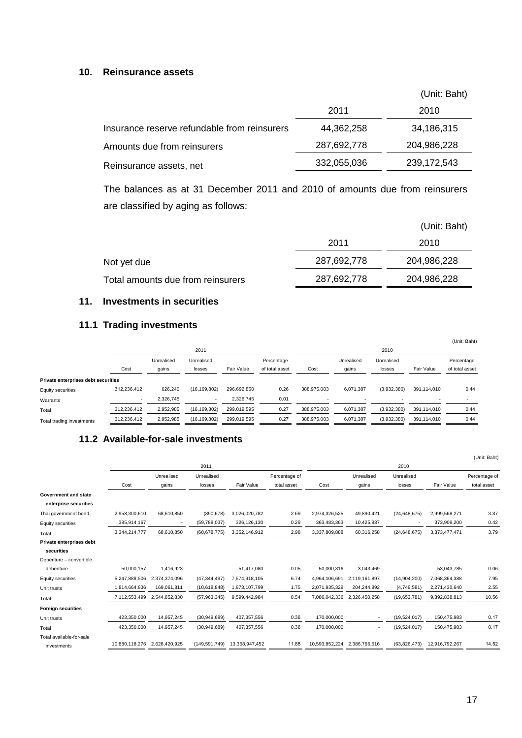#### **10. Reinsurance assets**

|                                              |             | (Unit: Baht) |
|----------------------------------------------|-------------|--------------|
|                                              | 2011        | 2010         |
| Insurance reserve refundable from reinsurers | 44,362,258  | 34,186,315   |
| Amounts due from reinsurers                  | 287,692,778 | 204,986,228  |
| Reinsurance assets, net                      | 332,055,036 | 239,172,543  |

The balances as at 31 December 2011 and 2010 of amounts due from reinsurers are classified by aging as follows:

|                                   |             | (Unit: Baht) |
|-----------------------------------|-------------|--------------|
|                                   | 2011        | 2010         |
| Not yet due                       | 287,692,778 | 204,986,228  |
| Total amounts due from reinsurers | 287,692,778 | 204,986,228  |

# **11. Investments in securities**

# **11.1 Trading investments**

|                                     |                          |            |                |             |                |             |            |             |             | (Unit: Baht)   |
|-------------------------------------|--------------------------|------------|----------------|-------------|----------------|-------------|------------|-------------|-------------|----------------|
|                                     |                          |            | 2011           |             |                |             |            | 2010        |             |                |
|                                     |                          | Unrealised | Unrealised     |             | Percentage     |             | Unrealised | Unrealised  |             | Percentage     |
|                                     | Cost                     | gains      | losses         | Fair Value  | of total asset | Cost        | gains      | losses      | Fair Value  | of total asset |
| Private enterprises debt securities |                          |            |                |             |                |             |            |             |             |                |
| Equity securities                   | 312.236.412              | 626.240    | (16, 169, 802) | 296.692.850 | 0.26           | 388.975.003 | 6,071,387  | (3,932,380) | 391,114,010 | 0.44           |
| Warrants                            | $\overline{\phantom{a}}$ | 2.326.745  |                | 2,326,745   | 0.01           |             |            |             |             |                |
| Total                               | 312,236,412              | 2,952,985  | (16, 169, 802) | 299,019,595 | 0.27           | 388,975,003 | 6,071,387  | (3,932,380) | 391,114,010 | 0.44           |
| Total trading investments           | 312,236,412              | 2,952,985  | (16, 169, 802) | 299,019,595 | 0.27           | 388,975,003 | 6,071,387  | (3,932,380) | 391,114,010 | 0.44           |

# **11.2 Available-for-sale investments**

|                           |                |               |                 |                |               |                |               |                |                | (Unit: Baht)  |
|---------------------------|----------------|---------------|-----------------|----------------|---------------|----------------|---------------|----------------|----------------|---------------|
|                           |                |               | 2011            |                |               | 2010           |               |                |                |               |
|                           |                | Unrealised    | Unrealised      |                | Percentage of |                | Unrealised    | Unrealised     |                | Percentage of |
|                           | Cost           | gains         | losses          | Fair Value     | total asset   | Cost           | gains         | losses         | Fair Value     | total asset   |
| Government and state      |                |               |                 |                |               |                |               |                |                |               |
| enterprise securities     |                |               |                 |                |               |                |               |                |                |               |
| Thai government bond      | 2,958,300,610  | 68,610,850    | (890, 678)      | 3,026,020,782  | 2.69          | 2,974,326,525  | 49,890,421    | (24, 648, 675) | 2,999,568,271  | 3.37          |
| Equity securities         | 385.914.167    |               | (59,788,037)    | 326,126,130    | 0.29          | 363,483,363    | 10,425,837    |                | 373,909,200    | 0.42          |
| Total                     | 3.344.214.777  | 68.610.850    | (60, 678, 775)  | 3.352.146.912  | 2.98          | 3,337,809,888  | 60,316,258    | (24, 648, 675) | 3.373.477.471  | 3.79          |
| Private enterprises debt  |                |               |                 |                |               |                |               |                |                |               |
| securities                |                |               |                 |                |               |                |               |                |                |               |
| Debenture - convertible   |                |               |                 |                |               |                |               |                |                |               |
| debenture                 | 50,000,157     | 1,416,923     |                 | 51,417,080     | 0.05          | 50,000,316     | 3,043,469     |                | 53,043,785     | 0.06          |
| <b>Equity securities</b>  | 5,247,888,506  | 2,374,374,096 | (47, 344, 497)  | 7,574,918,105  | 6.74          | 4,964,106,691  | 2,119,161,897 | (14,904,200)   | 7,068,364,388  | 7.95          |
| Unit trusts               | 1,814,664,836  | 169,061,811   | (10,618,848)    | 1,973,107,799  | 1.75          | 2,071,935,329  | 204,244,892   | (4,749,581)    | 2,271,430,640  | 2.55          |
| Total                     | 7.112.553.499  | 2.544.852.830 | (57, 963, 345)  | 9.599.442.984  | 8.54          | 7.086.042.336  | 2.326.450.258 | (19,653,781)   | 9,392,838,813  | 10.56         |
| <b>Foreign securities</b> |                |               |                 |                |               |                |               |                |                |               |
| Unit trusts               | 423,350,000    | 14,957,245    | (30, 949, 689)  | 407,357,556    | 0.36          | 170,000,000    | ٠             | (19,524,017)   | 150,475,983    | 0.17          |
| Total                     | 423,350,000    | 14,957,245    | (30, 949, 689)  | 407,357,556    | 0.36          | 170,000,000    |               | (19,524,017)   | 150,475,983    | 0.17          |
| Total available-for-sale  |                |               |                 |                |               |                |               |                |                |               |
| investments               | 10,880,118,276 | 2,628,420,925 | (149, 591, 749) | 13,358,947,452 | 11.88         | 10,593,852,224 | 2,386,766,516 | (63, 826, 473) | 12,916,792,267 | 14.52         |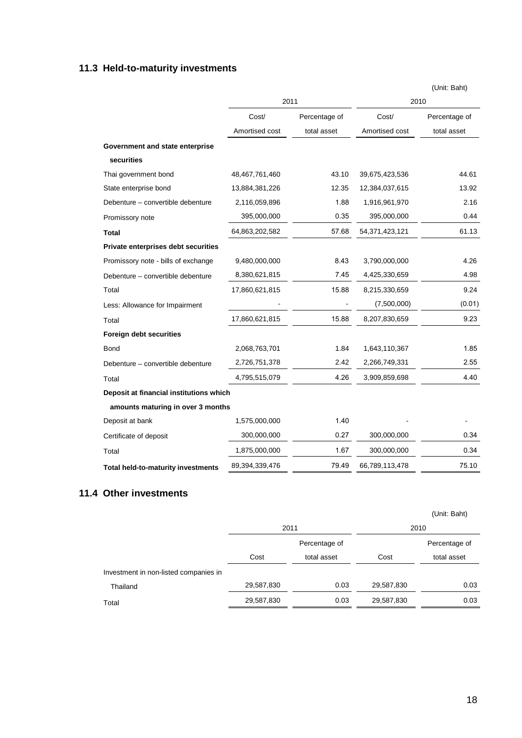# **11.3 Held-to-maturity investments**

|                                         |                |               |                | (Unit: Baht)  |  |  |  |  |
|-----------------------------------------|----------------|---------------|----------------|---------------|--|--|--|--|
|                                         |                | 2011          | 2010           |               |  |  |  |  |
|                                         | Cost/          | Percentage of | Cost/          | Percentage of |  |  |  |  |
|                                         | Amortised cost | total asset   | Amortised cost | total asset   |  |  |  |  |
| Government and state enterprise         |                |               |                |               |  |  |  |  |
| securities                              |                |               |                |               |  |  |  |  |
| Thai government bond                    | 48,467,761,460 | 43.10         | 39,675,423,536 | 44.61         |  |  |  |  |
| State enterprise bond                   | 13,884,381,226 | 12.35         | 12,384,037,615 | 13.92         |  |  |  |  |
| Debenture - convertible debenture       | 2,116,059,896  | 1.88          | 1,916,961,970  | 2.16          |  |  |  |  |
| Promissory note                         | 395,000,000    | 0.35          | 395,000,000    | 0.44          |  |  |  |  |
| <b>Total</b>                            | 64,863,202,582 | 57.68         | 54,371,423,121 | 61.13         |  |  |  |  |
| Private enterprises debt securities     |                |               |                |               |  |  |  |  |
| Promissory note - bills of exchange     | 9,480,000,000  | 8.43          | 3,790,000,000  | 4.26          |  |  |  |  |
| Debenture - convertible debenture       | 8,380,621,815  | 7.45          | 4,425,330,659  | 4.98          |  |  |  |  |
| Total                                   | 17,860,621,815 | 15.88         | 8,215,330,659  | 9.24          |  |  |  |  |
| Less: Allowance for Impairment          |                |               | (7,500,000)    | (0.01)        |  |  |  |  |
| Total                                   | 17,860,621,815 | 15.88         | 8,207,830,659  | 9.23          |  |  |  |  |
| Foreign debt securities                 |                |               |                |               |  |  |  |  |
| <b>Bond</b>                             | 2,068,763,701  | 1.84          | 1,643,110,367  | 1.85          |  |  |  |  |
| Debenture - convertible debenture       | 2,726,751,378  | 2.42          | 2,266,749,331  | 2.55          |  |  |  |  |
| Total                                   | 4,795,515,079  | 4.26          | 3,909,859,698  | 4.40          |  |  |  |  |
| Deposit at financial institutions which |                |               |                |               |  |  |  |  |
| amounts maturing in over 3 months       |                |               |                |               |  |  |  |  |
| Deposit at bank                         | 1,575,000,000  | 1.40          |                |               |  |  |  |  |
| Certificate of deposit                  | 300,000,000    | 0.27          | 300,000,000    | 0.34          |  |  |  |  |
| Total                                   | 1,875,000,000  | 1.67          | 300,000,000    | 0.34          |  |  |  |  |
| Total held-to-maturity investments      | 89,394,339,476 | 79.49         | 66,789,113,478 | 75.10         |  |  |  |  |

# **11.4 Other investments**

|                                       |            |               |            | (Unit: Baht)  |  |
|---------------------------------------|------------|---------------|------------|---------------|--|
|                                       | 2011       |               | 2010       |               |  |
|                                       |            | Percentage of |            | Percentage of |  |
|                                       | Cost       | total asset   | Cost       | total asset   |  |
| Investment in non-listed companies in |            |               |            |               |  |
| Thailand                              | 29,587,830 | 0.03          | 29,587,830 | 0.03          |  |
| Total                                 | 29,587,830 | 0.03          | 29,587,830 | 0.03          |  |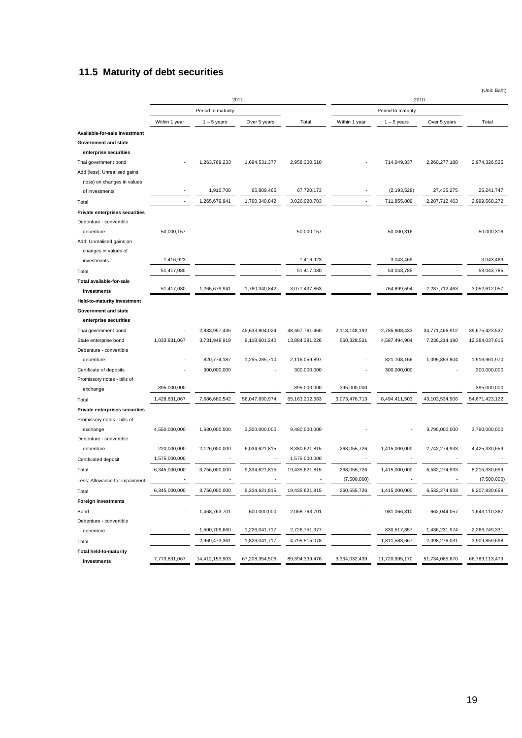# **11.5 Maturity of debt securities**

|                                       |                              |                    | 2011                     |                |                              |                    | 2010           |                |
|---------------------------------------|------------------------------|--------------------|--------------------------|----------------|------------------------------|--------------------|----------------|----------------|
|                                       |                              | Period to maturity |                          |                |                              | Period to maturity |                |                |
|                                       | Within 1 year                | $1 - 5$ years      | Over 5 years             | Total          | Within 1 year                | $1 - 5$ years      | Over 5 years   | Total          |
| Available-for-sale investment         |                              |                    |                          |                |                              |                    |                |                |
| <b>Government and state</b>           |                              |                    |                          |                |                              |                    |                |                |
| enterprise securities                 |                              |                    |                          |                |                              |                    |                |                |
| Thai government bond                  |                              | 1,263,769,233      | 1,694,531,377            | 2,958,300,610  |                              | 714,049,337        | 2,260,277,188  | 2,974,326,525  |
| Add (less): Unrealised gains          |                              |                    |                          |                |                              |                    |                |                |
| (loss) on changes in values           |                              | 1,910,708          | 65,809,465               | 67,720,173     |                              | (2, 193, 528)      | 27,435,275     | 25,241,747     |
| of investments                        |                              |                    |                          | 3,026,020,783  |                              |                    |                |                |
| Total                                 |                              | 1,265,679,941      | 1,760,340,842            |                |                              | 711,855,809        | 2,287,712,463  | 2,999,568,272  |
| Private enterprises securities        |                              |                    |                          |                |                              |                    |                |                |
| Debenture - convertible               |                              |                    |                          |                |                              |                    |                |                |
| debenture<br>Add: Unrealised gains on | 50,000,157                   |                    |                          | 50,000,157     |                              | 50,000,316         |                | 50,000,316     |
| changes in values of                  |                              |                    |                          |                |                              |                    |                |                |
| investments                           | 1,416,923                    |                    |                          | 1,416,923      |                              | 3,043,469          |                | 3,043,469      |
| Total                                 | 51,417,080                   |                    | $\overline{\phantom{a}}$ | 51,417,080     | ٠                            | 53,043,785         |                | 53,043,785     |
| Total available-for-sale              |                              |                    |                          |                |                              |                    |                |                |
| investments                           | 51,417,080                   | 1,265,679,941      | 1,760,340,842            | 3,077,437,863  |                              | 764,899,594        | 2,287,712,463  | 3,052,612,057  |
| Held-to-maturity investment           |                              |                    |                          |                |                              |                    |                |                |
| Government and state                  |                              |                    |                          |                |                              |                    |                |                |
| enterprise securities                 |                              |                    |                          |                |                              |                    |                |                |
| Thai government bond                  |                              | 2,833,957,436      | 45,633,804,024           | 48,467,761,460 | 2,118,148,192                | 2,785,808,433      | 34,771,466,912 | 39,675,423,537 |
| State enterprise bond                 | 1,033,831,067                | 3,731,948,919      | 9,118,601,240            | 13,884,381,226 | 560,328,521                  | 4,587,494,904      | 7,236,214,190  | 12,384,037,615 |
| Debenture - convertible               |                              |                    |                          |                |                              |                    |                |                |
| debenture                             |                              | 820,774,187        | 1,295,285,710            | 2,116,059,897  |                              | 821,108,166        | 1,095,853,804  | 1,916,961,970  |
| Certificate of deposits               |                              | 300,000,000        |                          | 300,000,000    |                              | 300,000,000        |                | 300,000,000    |
| Promissory notes - bills of           |                              |                    |                          |                |                              |                    |                |                |
| exchange                              | 395,000,000                  |                    |                          | 395,000,000    | 395,000,000                  |                    |                | 395,000,000    |
| Total                                 | 1,428,831,067                | 7,686,680,542      | 56,047,690,974           | 65,163,202,583 | 3,073,476,713                | 8,494,411,503      | 43,103,534,906 | 54,671,423,122 |
| Private enterprises securities        |                              |                    |                          |                |                              |                    |                |                |
| Promissory notes - bills of           |                              |                    |                          |                |                              |                    |                |                |
| exchange                              | 4,550,000,000                | 1,630,000,000      | 3,300,000,000            | 9,480,000,000  |                              |                    | 3,790,000,000  | 3,790,000,000  |
| Debenture - convertible               |                              |                    |                          |                |                              |                    |                |                |
| debenture                             | 220,000,000<br>1,575,000,000 | 2,126,000,000      | 6,034,621,815            | 8,380,621,815  | 268,055,726                  | 1,415,000,000      | 2,742,274,933  | 4,425,330,659  |
| Certificated deposit                  |                              |                    |                          | 1,575,000,000  |                              |                    |                |                |
| Total                                 | 6,345,000,000                | 3,756,000,000      | 9,334,621,815            | 19,435,621,815 | 268,055,726                  | 1,415,000,000      | 6,532,274,933  | 8,215,330,659  |
| Less: Allowance for impairment        |                              |                    |                          |                | (7,500,000)                  |                    |                | (7,500,000)    |
| Total                                 | 6,345,000,000                | 3,756,000,000      | 9,334,621,815            | 19,435,621,815 | 260,555,726                  | 1,415,000,000      | 6,532,274,933  | 8,207,830,659  |
| <b>Foreign investments</b>            |                              |                    |                          |                |                              |                    |                |                |
| Bond                                  |                              | 1,468,763,701      | 600,000,000              | 2,068,763,701  |                              | 981,066,310        | 662,044,057    | 1,643,110,367  |
| Debenture - convertible               | ٠                            | 1,500,709,660      |                          |                | $\overline{\phantom{a}}$     | 830,517,357        |                | 2,266,749,331  |
| debenture                             |                              |                    | 1,226,041,717            | 2,726,751,377  |                              |                    | 1,436,231,974  |                |
| Total                                 |                              | 2,969,473,361      | 1,826,041,717            | 4,795,515,078  | $\qquad \qquad \blacksquare$ | 1,811,583,667      | 2,098,276,031  | 3,909,859,698  |
| <b>Total held-to-maturity</b>         | 7,773,831,067                | 14,412,153,903     | 67,208,354,506           | 89,394,339,476 | 3,334,032,439                | 11,720,995,170     | 51,734,085,870 | 66,789,113,479 |
| investments                           |                              |                    |                          |                |                              |                    |                |                |

(Unit: Baht)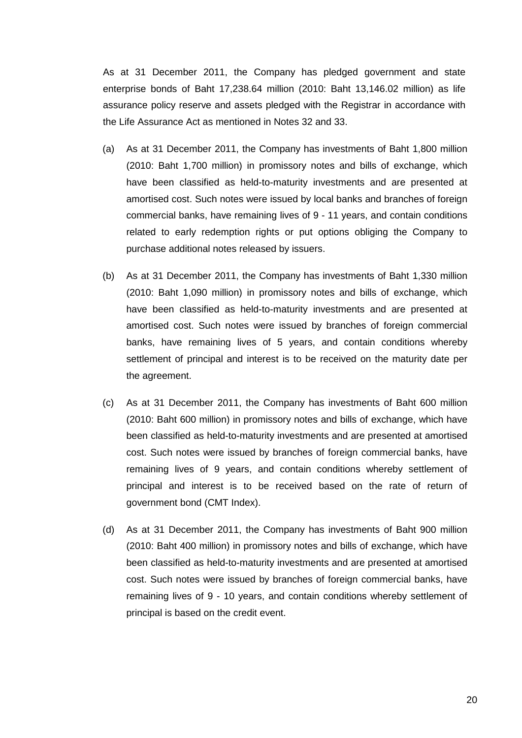As at 31 December 2011, the Company has pledged government and state enterprise bonds of Baht 17,238.64 million (2010: Baht 13,146.02 million) as life assurance policy reserve and assets pledged with the Registrar in accordance with the Life Assurance Act as mentioned in Notes 32 and 33.

- (a) As at 31 December 2011, the Company has investments of Baht 1,800 million (2010: Baht 1,700 million) in promissory notes and bills of exchange, which have been classified as held-to-maturity investments and are presented at amortised cost. Such notes were issued by local banks and branches of foreign commercial banks, have remaining lives of 9 - 11 years, and contain conditions related to early redemption rights or put options obliging the Company to purchase additional notes released by issuers.
- (b) As at 31 December 2011, the Company has investments of Baht 1,330 million (2010: Baht 1,090 million) in promissory notes and bills of exchange, which have been classified as held-to-maturity investments and are presented at amortised cost. Such notes were issued by branches of foreign commercial banks, have remaining lives of 5 years, and contain conditions whereby settlement of principal and interest is to be received on the maturity date per the agreement.
- (c) As at 31 December 2011, the Company has investments of Baht 600 million (2010: Baht 600 million) in promissory notes and bills of exchange, which have been classified as held-to-maturity investments and are presented at amortised cost. Such notes were issued by branches of foreign commercial banks, have remaining lives of 9 years, and contain conditions whereby settlement of principal and interest is to be received based on the rate of return of government bond (CMT Index).
- (d) As at 31 December 2011, the Company has investments of Baht 900 million (2010: Baht 400 million) in promissory notes and bills of exchange, which have been classified as held-to-maturity investments and are presented at amortised cost. Such notes were issued by branches of foreign commercial banks, have remaining lives of 9 - 10 years, and contain conditions whereby settlement of principal is based on the credit event.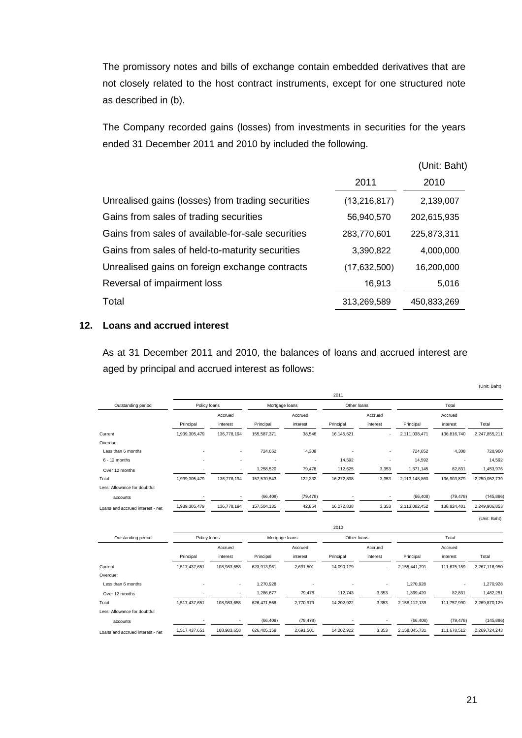The promissory notes and bills of exchange contain embedded derivatives that are not closely related to the host contract instruments, except for one structured note as described in (b).

The Company recorded gains (losses) from investments in securities for the years ended 31 December 2011 and 2010 by included the following.

|                                                   |                | (Unit: Baht) |
|---------------------------------------------------|----------------|--------------|
|                                                   | 2011           | 2010         |
| Unrealised gains (losses) from trading securities | (13, 216, 817) | 2,139,007    |
| Gains from sales of trading securities            | 56,940,570     | 202,615,935  |
| Gains from sales of available-for-sale securities | 283,770,601    | 225,873,311  |
| Gains from sales of held-to-maturity securities   | 3,390,822      | 4,000,000    |
| Unrealised gains on foreign exchange contracts    | (17,632,500)   | 16,200,000   |
| Reversal of impairment loss                       | 16,913         | 5,016        |
| Total                                             | 313,269,589    | 450,833,269  |

# **12. Loans and accrued interest**

 As at 31 December 2011 and 2010, the balances of loans and accrued interest are aged by principal and accrued interest as follows:

|                                  |               |             |                |                          |             |          |               |             | (Unit: Baht)  |
|----------------------------------|---------------|-------------|----------------|--------------------------|-------------|----------|---------------|-------------|---------------|
|                                  |               |             |                |                          | 2011        |          |               |             |               |
| Outstanding period               | Policy loans  |             | Mortgage loans |                          | Other loans |          | Total         |             |               |
|                                  |               | Accrued     |                | Accrued                  |             | Accrued  |               | Accrued     |               |
|                                  | Principal     | interest    | Principal      | interest                 | Principal   | interest | Principal     | interest    | Total         |
| Current                          | 1,939,305,479 | 136,778,194 | 155,587,371    | 38,546                   | 16,145,621  |          | 2,111,038,471 | 136,816,740 | 2,247,855,211 |
| Overdue:                         |               |             |                |                          |             |          |               |             |               |
| Less than 6 months               |               |             | 724,652        | 4,308                    |             |          | 724,652       | 4,308       | 728,960       |
| $6 - 12$ months                  |               |             |                | $\overline{\phantom{a}}$ | 14,592      |          | 14,592        |             | 14,592        |
| Over 12 months                   |               |             | 1,258,520      | 79,478                   | 112,625     | 3,353    | 1,371,145     | 82,831      | 1,453,976     |
| Total                            | 1,939,305,479 | 136,778,194 | 157,570,543    | 122,332                  | 16,272,838  | 3,353    | 2,113,148,860 | 136,903,879 | 2,250,052,739 |
| Less: Allowance for doubtful     |               |             |                |                          |             |          |               |             |               |
| accounts                         |               |             | (66, 408)      | (79, 478)                |             |          | (66, 408)     | (79, 478)   | (145, 886)    |
| Loans and accrued interest - net | 1,939,305,479 | 136,778,194 | 157,504,135    | 42,854                   | 16,272,838  | 3,353    | 2,113,082,452 | 136,824,401 | 2,249,906,853 |
|                                  |               |             |                |                          |             |          |               |             | (Unit: Baht)  |
|                                  |               |             |                |                          | 2010        |          |               |             |               |
| Outstanding period               | Policy loans  |             | Mortgage loans |                          | Other loans |          |               | Total       |               |
|                                  |               | Accrued     |                | Accrued                  |             | Accrued  |               | Accrued     |               |
|                                  | Principal     | interest    | Principal      | interest                 | Principal   | interest | Principal     | interest    | Total         |
| Current                          | 1,517,437,651 | 108,983,658 | 623,913,961    | 2,691,501                | 14,090,179  |          | 2,155,441,791 | 111,675,159 | 2,267,116,950 |
| Overdue:                         |               |             |                |                          |             |          |               |             |               |
| Less than 6 months               |               | ٠           | 1,270,928      |                          |             |          | 1,270,928     |             | 1,270,928     |
| Over 12 months                   |               | ٠           | 1,286,677      | 79,478                   | 112,743     | 3,353    | 1,399,420     | 82,831      | 1,482,251     |
| Total                            | 1,517,437,651 | 108,983,658 | 626,471,566    | 2,770,979                | 14,202,922  | 3,353    | 2,158,112,139 | 111,757,990 | 2,269,870,129 |
| Less: Allowance for doubtful     |               |             |                |                          |             |          |               |             |               |
| accounts                         |               |             | (66, 408)      | (79, 478)                |             |          | (66, 408)     | (79, 478)   | (145, 886)    |
| Loans and accrued interest - net | 1,517,437,651 | 108,983,658 | 626,405,158    | 2,691,501                | 14,202,922  | 3,353    | 2,158,045,731 | 111,678,512 | 2,269,724,243 |
|                                  |               |             |                |                          |             |          |               |             |               |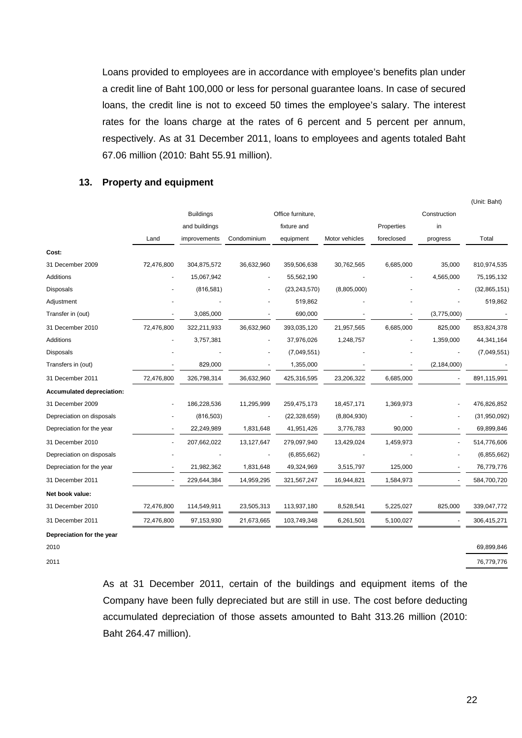Loans provided to employees are in accordance with employee's benefits plan under a credit line of Baht 100,000 or less for personal guarantee loans. In case of secured loans, the credit line is not to exceed 50 times the employee's salary. The interest rates for the loans charge at the rates of 6 percent and 5 percent per annum, respectively. As at 31 December 2011, loans to employees and agents totaled Baht 67.06 million (2010: Baht 55.91 million).

#### **13. Property and equipment**

|                           |                          |                  |                |                   |                |            |                          | (Unit: Baht)   |
|---------------------------|--------------------------|------------------|----------------|-------------------|----------------|------------|--------------------------|----------------|
|                           |                          | <b>Buildings</b> |                | Office furniture, |                |            | Construction             |                |
|                           |                          | and buildings    |                | fixture and       |                | Properties | in                       |                |
|                           | Land                     | improvements     | Condominium    | equipment         | Motor vehicles | foreclosed | progress                 | Total          |
| Cost:                     |                          |                  |                |                   |                |            |                          |                |
| 31 December 2009          | 72,476,800               | 304,875,572      | 36,632,960     | 359,506,638       | 30,762,565     | 6,685,000  | 35,000                   | 810,974,535    |
| Additions                 |                          | 15,067,942       | $\blacksquare$ | 55,562,190        |                |            | 4,565,000                | 75,195,132     |
| Disposals                 |                          | (816, 581)       |                | (23, 243, 570)    | (8,805,000)    |            |                          | (32, 865, 151) |
| Adjustment                |                          |                  |                | 519,862           |                |            |                          | 519,862        |
| Transfer in (out)         |                          | 3,085,000        |                | 690,000           |                |            | (3,775,000)              |                |
| 31 December 2010          | 72,476,800               | 322,211,933      | 36,632,960     | 393,035,120       | 21,957,565     | 6,685,000  | 825,000                  | 853,824,378    |
| Additions                 |                          | 3,757,381        |                | 37,976,026        | 1,248,757      |            | 1,359,000                | 44,341,164     |
| Disposals                 |                          |                  |                | (7,049,551)       |                |            |                          | (7,049,551)    |
| Transfers in (out)        |                          | 829,000          |                | 1,355,000         |                |            | (2, 184, 000)            |                |
| 31 December 2011          | 72,476,800               | 326,798,314      | 36,632,960     | 425,316,595       | 23,206,322     | 6,685,000  |                          | 891,115,991    |
| Accumulated depreciation: |                          |                  |                |                   |                |            |                          |                |
| 31 December 2009          |                          | 186,228,536      | 11,295,999     | 259,475,173       | 18,457,171     | 1,369,973  |                          | 476,826,852    |
| Depreciation on disposals |                          | (816, 503)       | $\blacksquare$ | (22, 328, 659)    | (8,804,930)    |            |                          | (31,950,092)   |
| Depreciation for the year | $\overline{\phantom{a}}$ | 22,249,989       | 1,831,648      | 41,951,426        | 3,776,783      | 90,000     |                          | 69,899,846     |
| 31 December 2010          |                          | 207,662,022      | 13,127,647     | 279,097,940       | 13,429,024     | 1,459,973  |                          | 514,776,606    |
| Depreciation on disposals |                          |                  |                | (6,855,662)       |                |            |                          | (6,855,662)    |
| Depreciation for the year | $\blacksquare$           | 21,982,362       | 1,831,648      | 49,324,969        | 3,515,797      | 125,000    | $\overline{\phantom{a}}$ | 76,779,776     |
| 31 December 2011          |                          | 229,644,384      | 14,959,295     | 321,567,247       | 16,944,821     | 1,584,973  |                          | 584,700,720    |
| Net book value:           |                          |                  |                |                   |                |            |                          |                |
| 31 December 2010          | 72,476,800               | 114,549,911      | 23,505,313     | 113,937,180       | 8,528,541      | 5,225,027  | 825,000                  | 339,047,772    |
| 31 December 2011          | 72,476,800               | 97,153,930       | 21,673,665     | 103,749,348       | 6,261,501      | 5,100,027  |                          | 306,415,271    |
| Depreciation for the year |                          |                  |                |                   |                |            |                          |                |

2010 69,899,846

2011 76,779,776

 As at 31 December 2011, certain of the buildings and equipment items of the Company have been fully depreciated but are still in use. The cost before deducting accumulated depreciation of those assets amounted to Baht 313.26 million (2010: Baht 264.47 million).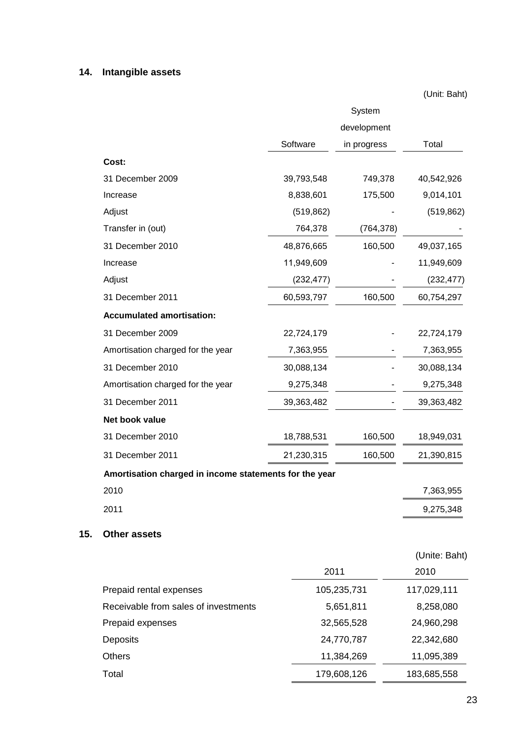# **14. Intangible assets**

(Unit: Baht)

|     |                                                        |            | System      |               |
|-----|--------------------------------------------------------|------------|-------------|---------------|
|     |                                                        |            | development |               |
|     |                                                        | Software   | in progress | Total         |
|     | Cost:                                                  |            |             |               |
|     | 31 December 2009                                       | 39,793,548 | 749,378     | 40,542,926    |
|     | Increase                                               | 8,838,601  | 175,500     | 9,014,101     |
|     | Adjust                                                 | (519, 862) |             | (519, 862)    |
|     | Transfer in (out)                                      | 764,378    | (764, 378)  |               |
|     | 31 December 2010                                       | 48,876,665 | 160,500     | 49,037,165    |
|     | Increase                                               | 11,949,609 |             | 11,949,609    |
|     | Adjust                                                 | (232, 477) |             | (232, 477)    |
|     | 31 December 2011                                       | 60,593,797 | 160,500     | 60,754,297    |
|     | <b>Accumulated amortisation:</b>                       |            |             |               |
|     | 31 December 2009                                       | 22,724,179 |             | 22,724,179    |
|     | Amortisation charged for the year                      | 7,363,955  |             | 7,363,955     |
|     | 31 December 2010                                       | 30,088,134 |             | 30,088,134    |
|     | Amortisation charged for the year                      | 9,275,348  |             | 9,275,348     |
|     | 31 December 2011                                       | 39,363,482 |             | 39,363,482    |
|     | Net book value                                         |            |             |               |
|     | 31 December 2010                                       | 18,788,531 | 160,500     | 18,949,031    |
|     | 31 December 2011                                       | 21,230,315 | 160,500     | 21,390,815    |
|     | Amortisation charged in income statements for the year |            |             |               |
|     | 2010                                                   |            |             | 7,363,955     |
|     | 2011                                                   |            |             | 9,275,348     |
|     |                                                        |            |             |               |
| 15. | <b>Other assets</b>                                    |            |             |               |
|     |                                                        |            |             | (Unite: Baht) |
|     |                                                        | 2011       |             | 2010          |
|     | Prepaid rental expenses                                |            | 105,235,731 | 117,029,111   |
|     | Receivable from sales of investments                   |            | 5,651,811   | 8,258,080     |
|     | Prepaid expenses                                       |            | 32,565,528  | 24,960,298    |
|     | Deposits                                               |            | 24,770,787  | 22,342,680    |
|     | <b>Others</b>                                          |            | 11,384,269  | 11,095,389    |
|     | Total                                                  |            | 179,608,126 | 183,685,558   |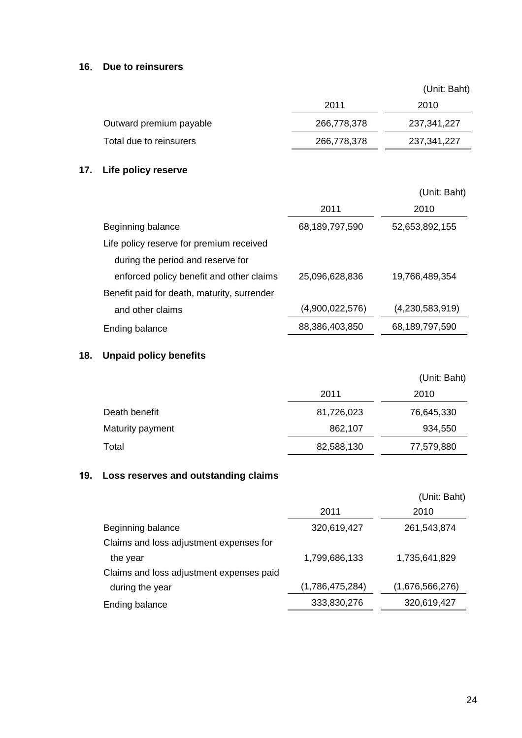## **16**. **Due to reinsurers**

|                         |             | (Unit: Baht)  |  |
|-------------------------|-------------|---------------|--|
|                         | 2011        | 2010          |  |
| Outward premium payable | 266,778,378 | 237, 341, 227 |  |
| Total due to reinsurers | 266,778,378 | 237, 341, 227 |  |

# **17. Life policy reserve**

|                                             |                 | (Unit: Baht)      |
|---------------------------------------------|-----------------|-------------------|
|                                             | 2011            | 2010              |
| Beginning balance                           | 68,189,797,590  | 52,653,892,155    |
| Life policy reserve for premium received    |                 |                   |
| during the period and reserve for           |                 |                   |
| enforced policy benefit and other claims    | 25,096,628,836  | 19,766,489,354    |
| Benefit paid for death, maturity, surrender |                 |                   |
| and other claims                            | (4,900,022,576) | (4,230,583,919)   |
| Ending balance                              | 88,386,403,850  | 68, 189, 797, 590 |

# **18. Unpaid policy benefits**

|                  |            | (Unit: Baht) |
|------------------|------------|--------------|
|                  | 2011       | 2010         |
| Death benefit    | 81,726,023 | 76,645,330   |
| Maturity payment | 862,107    | 934,550      |
| Total            | 82,588,130 | 77,579,880   |

# **19. Loss reserves and outstanding claims**

|                 | (Unit: Baht)    |
|-----------------|-----------------|
| 2011            | 2010            |
| 320,619,427     | 261,543,874     |
|                 |                 |
| 1,799,686,133   | 1,735,641,829   |
|                 |                 |
| (1,786,475,284) | (1,676,566,276) |
| 333,830,276     | 320,619,427     |
|                 |                 |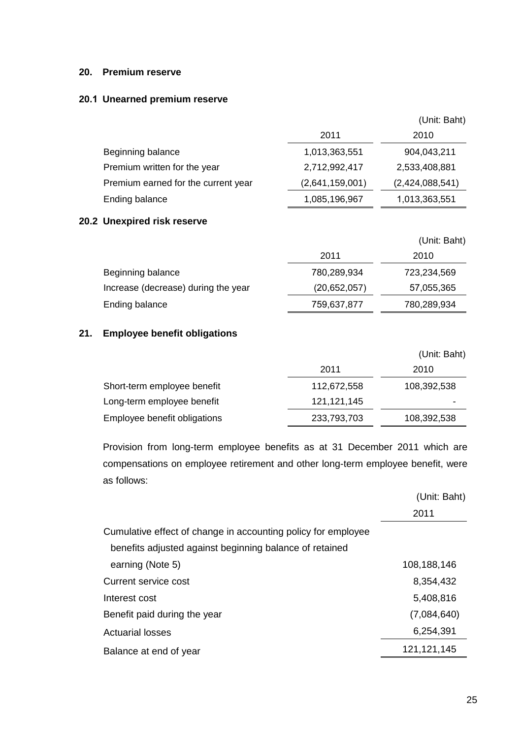### **20. Premium reserve**

#### **20.1 Unearned premium reserve**

|     |                                     |                 | (Unit: Baht)    |
|-----|-------------------------------------|-----------------|-----------------|
|     |                                     | 2011            | 2010            |
|     | Beginning balance                   | 1,013,363,551   | 904,043,211     |
|     | Premium written for the year        | 2,712,992,417   | 2,533,408,881   |
|     | Premium earned for the current year | (2,641,159,001) | (2,424,088,541) |
|     | Ending balance                      | 1,085,196,967   | 1,013,363,551   |
|     | 20.2 Unexpired risk reserve         |                 |                 |
|     |                                     |                 | (Unit: Baht)    |
|     |                                     | 2011            | 2010            |
|     | Beginning balance                   | 780,289,934     | 723,234,569     |
|     | Increase (decrease) during the year | (20,652,057)    | 57,055,365      |
|     | <b>Ending balance</b>               | 759,637,877     | 780,289,934     |
| 21. | <b>Employee benefit obligations</b> |                 |                 |
|     |                                     |                 | (Unit: Baht)    |
|     |                                     | 2011            | 2010            |
|     | Short-term employee benefit         | 112,672,558     | 108,392,538     |
|     | Long-term employee benefit          | 121, 121, 145   |                 |
|     | Employee benefit obligations        | 233,793,703     | 108,392,538     |
|     |                                     |                 |                 |

 Provision from long-term employee benefits as at 31 December 2011 which are compensations on employee retirement and other long-term employee benefit, were as follows:

|                                                               | (Unit: Baht)  |
|---------------------------------------------------------------|---------------|
|                                                               | 2011          |
| Cumulative effect of change in accounting policy for employee |               |
| benefits adjusted against beginning balance of retained       |               |
| earning (Note 5)                                              | 108,188,146   |
| Current service cost                                          | 8,354,432     |
| Interest cost                                                 | 5,408,816     |
| Benefit paid during the year                                  | (7,084,640)   |
| <b>Actuarial losses</b>                                       | 6,254,391     |
| Balance at end of year                                        | 121, 121, 145 |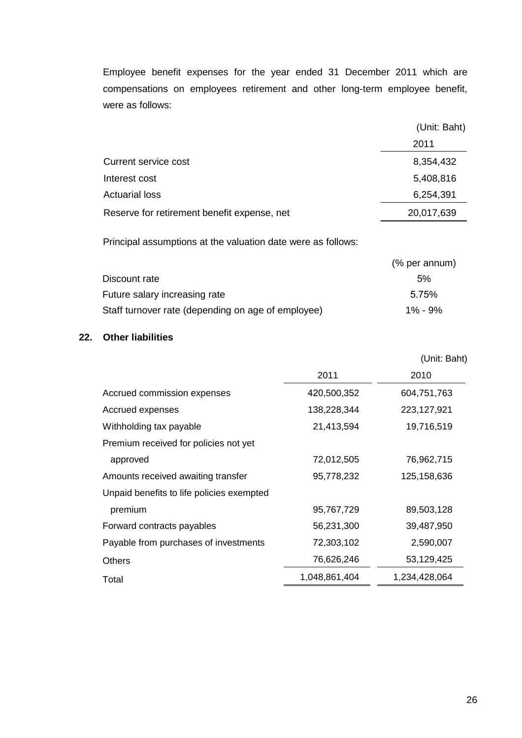Employee benefit expenses for the year ended 31 December 2011 which are compensations on employees retirement and other long-term employee benefit, were as follows:

|                                             | (Unit: Baht) |  |
|---------------------------------------------|--------------|--|
|                                             | 2011         |  |
| Current service cost                        | 8,354,432    |  |
| Interest cost                               | 5,408,816    |  |
| <b>Actuarial loss</b>                       | 6,254,391    |  |
| Reserve for retirement benefit expense, net | 20,017,639   |  |

Principal assumptions at the valuation date were as follows:

|                                                    | (% per annum) |
|----------------------------------------------------|---------------|
| Discount rate                                      | 5%            |
| Future salary increasing rate                      | 5.75%         |
| Staff turnover rate (depending on age of employee) | $1\% - 9\%$   |

# **22. Other liabilities**

|                                           |               | (Unit: Baht)  |
|-------------------------------------------|---------------|---------------|
|                                           | 2011          | 2010          |
| Accrued commission expenses               | 420,500,352   | 604,751,763   |
| Accrued expenses                          | 138,228,344   | 223,127,921   |
| Withholding tax payable                   | 21,413,594    | 19,716,519    |
| Premium received for policies not yet     |               |               |
| approved                                  | 72,012,505    | 76,962,715    |
| Amounts received awaiting transfer        | 95,778,232    | 125,158,636   |
| Unpaid benefits to life policies exempted |               |               |
| premium                                   | 95,767,729    | 89,503,128    |
| Forward contracts payables                | 56,231,300    | 39,487,950    |
| Payable from purchases of investments     | 72,303,102    | 2,590,007     |
| <b>Others</b>                             | 76,626,246    | 53,129,425    |
| Total                                     | 1,048,861,404 | 1,234,428,064 |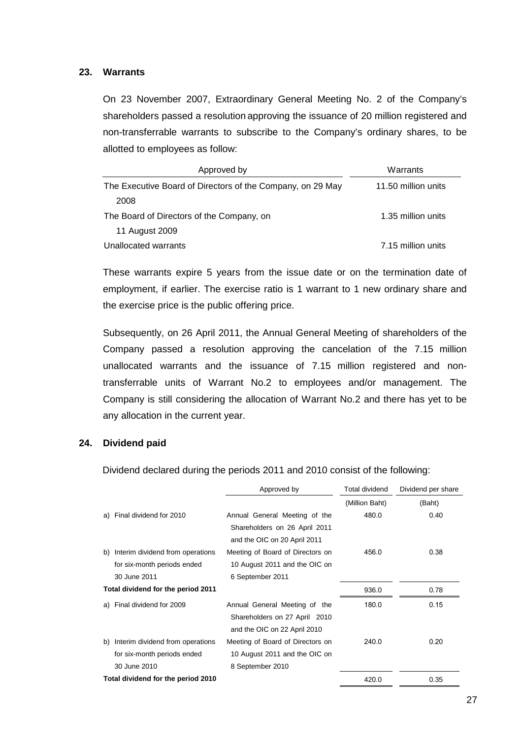#### **23. Warrants**

On 23 November 2007, Extraordinary General Meeting No. 2 of the Company's shareholders passed a resolution approving the issuance of 20 million registered and non-transferrable warrants to subscribe to the Company's ordinary shares, to be allotted to employees as follow:

| Approved by                                                | Warrants            |
|------------------------------------------------------------|---------------------|
| The Executive Board of Directors of the Company, on 29 May | 11.50 million units |
| 2008                                                       |                     |
| The Board of Directors of the Company, on                  | 1.35 million units  |
| 11 August 2009                                             |                     |
| Unallocated warrants                                       | 7.15 million units  |

 These warrants expire 5 years from the issue date or on the termination date of employment, if earlier. The exercise ratio is 1 warrant to 1 new ordinary share and the exercise price is the public offering price.

 Subsequently, on 26 April 2011, the Annual General Meeting of shareholders of the Company passed a resolution approving the cancelation of the 7.15 million unallocated warrants and the issuance of 7.15 million registered and nontransferrable units of Warrant No.2 to employees and/or management. The Company is still considering the allocation of Warrant No.2 and there has yet to be any allocation in the current year.

#### **24. Dividend paid**

Dividend declared during the periods 2011 and 2010 consist of the following:

|                                        | Approved by                                                                                    | Total dividend |        |
|----------------------------------------|------------------------------------------------------------------------------------------------|----------------|--------|
|                                        |                                                                                                | (Million Baht) | (Baht) |
| Final dividend for 2010<br>a)          | Annual General Meeting of the<br>Shareholders on 26 April 2011<br>and the OIC on 20 April 2011 | 480.0          | 0.40   |
| Interim dividend from operations<br>b) | Meeting of Board of Directors on                                                               | 456.0          | 0.38   |
| for six-month periods ended            | 10 August 2011 and the OIC on                                                                  |                |        |
| 30 June 2011                           | 6 September 2011                                                                               |                |        |
| Total dividend for the period 2011     |                                                                                                | 936.0          | 0.78   |
| a) Final dividend for 2009             | Annual General Meeting of the                                                                  | 180.0          | 0.15   |
|                                        | Shareholders on 27 April 2010<br>and the OIC on 22 April 2010                                  |                |        |
| Interim dividend from operations<br>b) | Meeting of Board of Directors on                                                               | 240.0          | 0.20   |
| for six-month periods ended            | 10 August 2011 and the OIC on                                                                  |                |        |
| 30 June 2010                           | 8 September 2010                                                                               |                |        |
| Total dividend for the period 2010     |                                                                                                | 420.0          | 0.35   |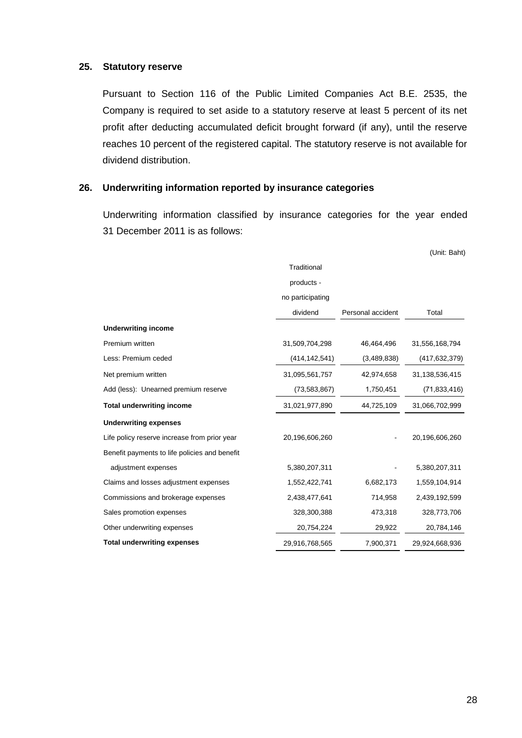#### **25. Statutory reserve**

 Pursuant to Section 116 of the Public Limited Companies Act B.E. 2535, the Company is required to set aside to a statutory reserve at least 5 percent of its net profit after deducting accumulated deficit brought forward (if any), until the reserve reaches 10 percent of the registered capital. The statutory reserve is not available for dividend distribution.

#### **26. Underwriting information reported by insurance categories**

 Underwriting information classified by insurance categories for the year ended 31 December 2011 is as follows:

|                                               |                  |                   | (Unit: Baht)    |
|-----------------------------------------------|------------------|-------------------|-----------------|
|                                               | Traditional      |                   |                 |
|                                               | products -       |                   |                 |
|                                               | no participating |                   |                 |
|                                               | dividend         | Personal accident | Total           |
| <b>Underwriting income</b>                    |                  |                   |                 |
| Premium written                               | 31,509,704,298   | 46,464,496        | 31,556,168,794  |
| Less: Premium ceded                           | (414, 142, 541)  | (3,489,838)       | (417, 632, 379) |
| Net premium written                           | 31,095,561,757   | 42,974,658        | 31,138,536,415  |
| Add (less): Unearned premium reserve          | (73,583,867)     | 1,750,451         | (71, 833, 416)  |
| <b>Total underwriting income</b>              | 31,021,977,890   | 44,725,109        | 31,066,702,999  |
| <b>Underwriting expenses</b>                  |                  |                   |                 |
| Life policy reserve increase from prior year  | 20,196,606,260   |                   | 20,196,606,260  |
| Benefit payments to life policies and benefit |                  |                   |                 |
| adjustment expenses                           | 5,380,207,311    |                   | 5,380,207,311   |
| Claims and losses adjustment expenses         | 1,552,422,741    | 6,682,173         | 1,559,104,914   |
| Commissions and brokerage expenses            | 2,438,477,641    | 714,958           | 2,439,192,599   |
| Sales promotion expenses                      | 328,300,388      | 473,318           | 328,773,706     |
| Other underwriting expenses                   | 20,754,224       | 29,922            | 20,784,146      |
| <b>Total underwriting expenses</b>            | 29,916,768,565   | 7,900,371         | 29,924,668,936  |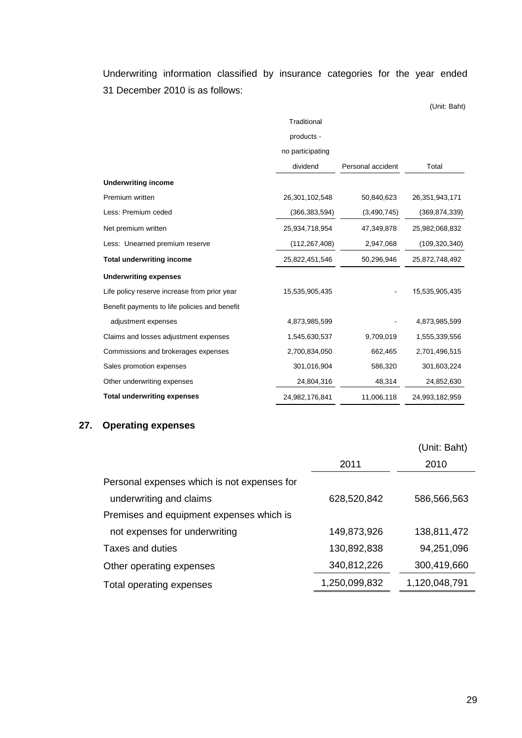Underwriting information classified by insurance categories for the year ended 31 December 2010 is as follows:

(Unit: Baht) **Traditional** products no participating dividend Personal accident Total **Underwriting income**  Premium written 26,301,102,548 50,840,623 26,351,943,171 Less: Premium ceded (366,383,594) (3,490,745) (369,874,339) Net premium written 25,934,718,954 47,349,878 25,982,068,832 Less: Unearned premium reserve (112,267,408) 2,947,068 (109,320,340) **Total underwriting income** 25,822,451,546 50,296,946 25,872,748,492 **Underwriting expenses**  Life policy reserve increase from prior year 15,535,905,435 15,535,905,435 Benefit payments to life policies and benefit adjustment expenses and the control of the 4,873,985,599 and the 4,873,985,599 and the 4,873,985,599 Claims and losses adjustment expenses 1,545,630,537 9,709,019 1,555,339,556 Commissions and brokerages expenses 2,700,834,050 662,465 2,701,496,515 Sales promotion expenses 301,016,904 586,320 301,603,224 Other underwriting expenses 24,804,316 48,314 24,852,630 **Total underwriting expenses** 24,982,176,841 11,006,118 24,993,182,959

#### **27. Operating expenses**

|                                             |               | (Unit: Baht)  |
|---------------------------------------------|---------------|---------------|
|                                             | 2011          | 2010          |
| Personal expenses which is not expenses for |               |               |
| underwriting and claims                     | 628,520,842   | 586,566,563   |
| Premises and equipment expenses which is    |               |               |
| not expenses for underwriting               | 149,873,926   | 138,811,472   |
| Taxes and duties                            | 130,892,838   | 94,251,096    |
| Other operating expenses                    | 340,812,226   | 300,419,660   |
| Total operating expenses                    | 1,250,099,832 | 1,120,048,791 |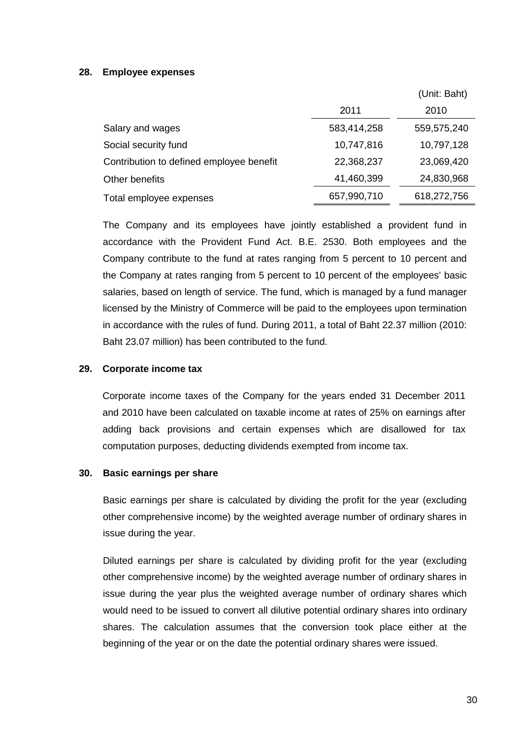## **28. Employee expenses**

|                                          |             | (Unit: Baht) |
|------------------------------------------|-------------|--------------|
|                                          | 2011        | 2010         |
| Salary and wages                         | 583,414,258 | 559,575,240  |
| Social security fund                     | 10,747,816  | 10,797,128   |
| Contribution to defined employee benefit | 22,368,237  | 23,069,420   |
| Other benefits                           | 41,460,399  | 24,830,968   |
| Total employee expenses                  | 657,990,710 | 618,272,756  |

 The Company and its employees have jointly established a provident fund in accordance with the Provident Fund Act. B.E. 2530. Both employees and the Company contribute to the fund at rates ranging from 5 percent to 10 percent and the Company at rates ranging from 5 percent to 10 percent of the employees' basic salaries, based on length of service. The fund, which is managed by a fund manager licensed by the Ministry of Commerce will be paid to the employees upon termination in accordance with the rules of fund. During 2011, a total of Baht 22.37 million (2010: Baht 23.07 million) has been contributed to the fund.

## **29. Corporate income tax**

 Corporate income taxes of the Company for the years ended 31 December 2011 and 2010 have been calculated on taxable income at rates of 25% on earnings after adding back provisions and certain expenses which are disallowed for tax computation purposes, deducting dividends exempted from income tax.

#### **30. Basic earnings per share**

 Basic earnings per share is calculated by dividing the profit for the year (excluding other comprehensive income) by the weighted average number of ordinary shares in issue during the year.

 Diluted earnings per share is calculated by dividing profit for the year (excluding other comprehensive income) by the weighted average number of ordinary shares in issue during the year plus the weighted average number of ordinary shares which would need to be issued to convert all dilutive potential ordinary shares into ordinary shares. The calculation assumes that the conversion took place either at the beginning of the year or on the date the potential ordinary shares were issued.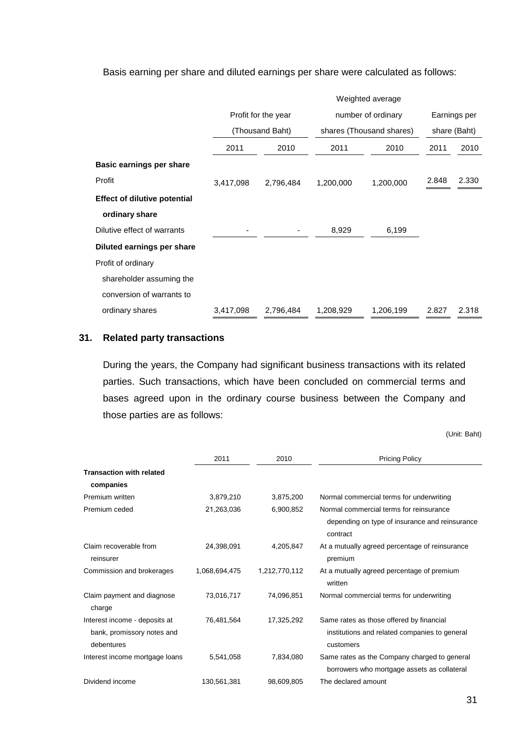Basis earning per share and diluted earnings per share were calculated as follows:

|                                     | Weighted average                       |           |                          |                    |              |              |  |
|-------------------------------------|----------------------------------------|-----------|--------------------------|--------------------|--------------|--------------|--|
|                                     | Profit for the year<br>(Thousand Baht) |           |                          | number of ordinary |              | Earnings per |  |
|                                     |                                        |           | shares (Thousand shares) |                    | share (Baht) |              |  |
|                                     | 2011                                   | 2010      | 2011                     | 2010               | 2011         | 2010         |  |
| Basic earnings per share            |                                        |           |                          |                    |              |              |  |
| Profit                              | 3,417,098                              | 2,796,484 | 1,200,000                | 1,200,000          | 2.848        | 2.330        |  |
| <b>Effect of dilutive potential</b> |                                        |           |                          |                    |              |              |  |
| ordinary share                      |                                        |           |                          |                    |              |              |  |
| Dilutive effect of warrants         |                                        |           | 8,929                    | 6,199              |              |              |  |
| Diluted earnings per share          |                                        |           |                          |                    |              |              |  |
| Profit of ordinary                  |                                        |           |                          |                    |              |              |  |
| shareholder assuming the            |                                        |           |                          |                    |              |              |  |
| conversion of warrants to           |                                        |           |                          |                    |              |              |  |
| ordinary shares                     | 3,417,098                              | 2,796,484 | 1,208,929                | 1,206,199          | 2.827        | 2.318        |  |

## **31. Related party transactions**

During the years, the Company had significant business transactions with its related parties. Such transactions, which have been concluded on commercial terms and bases agreed upon in the ordinary course business between the Company and those parties are as follows:

(Unit: Baht)

|                                      | 2011          | 2010          | <b>Pricing Policy</b>                                      |
|--------------------------------------|---------------|---------------|------------------------------------------------------------|
| <b>Transaction with related</b>      |               |               |                                                            |
| companies                            |               |               |                                                            |
| Premium written                      | 3,879,210     | 3,875,200     | Normal commercial terms for underwriting                   |
| Premium ceded                        | 21,263,036    | 6,900,852     | Normal commercial terms for reinsurance                    |
|                                      |               |               | depending on type of insurance and reinsurance<br>contract |
| Claim recoverable from<br>reinsurer  | 24,398,091    | 4,205,847     | At a mutually agreed percentage of reinsurance<br>premium  |
| Commission and brokerages            | 1,068,694,475 | 1,212,770,112 | At a mutually agreed percentage of premium<br>written      |
| Claim payment and diagnose<br>charge | 73,016,717    | 74,096,851    | Normal commercial terms for underwriting                   |
| Interest income - deposits at        | 76,481,564    | 17,325,292    | Same rates as those offered by financial                   |
| bank, promissory notes and           |               |               | institutions and related companies to general              |
| debentures                           |               |               | customers                                                  |
| Interest income mortgage loans       | 5,541,058     | 7,834,080     | Same rates as the Company charged to general               |
|                                      |               |               | borrowers who mortgage assets as collateral                |
| Dividend income                      | 130,561,381   | 98,609,805    | The declared amount                                        |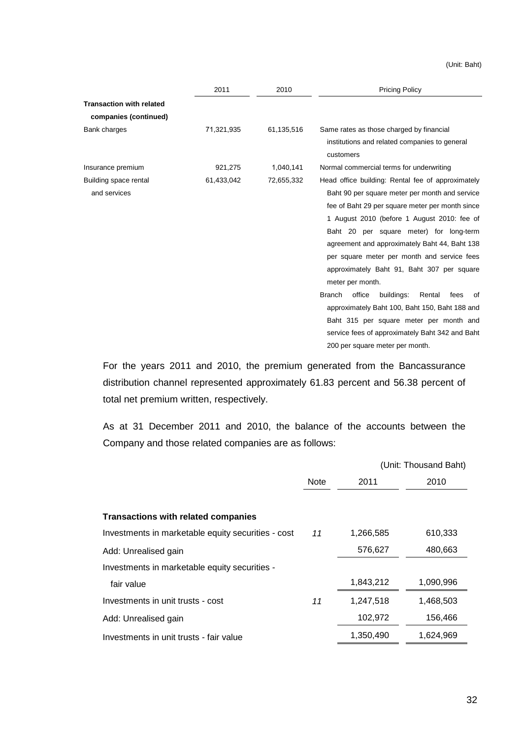(Unit: Baht)

|                                 | 2011       | 2010       | <b>Pricing Policy</b>                                         |
|---------------------------------|------------|------------|---------------------------------------------------------------|
| <b>Transaction with related</b> |            |            |                                                               |
| companies (continued)           |            |            |                                                               |
| Bank charges                    | 71,321,935 | 61,135,516 | Same rates as those charged by financial                      |
|                                 |            |            | institutions and related companies to general                 |
|                                 |            |            | customers                                                     |
| Insurance premium               | 921,275    | 1,040,141  | Normal commercial terms for underwriting                      |
| Building space rental           | 61,433,042 | 72,655,332 | Head office building: Rental fee of approximately             |
| and services                    |            |            | Baht 90 per square meter per month and service                |
|                                 |            |            | fee of Baht 29 per square meter per month since               |
|                                 |            |            | 1 August 2010 (before 1 August 2010: fee of                   |
|                                 |            |            | Baht 20 per square meter) for long-term                       |
|                                 |            |            | agreement and approximately Baht 44, Baht 138                 |
|                                 |            |            | per square meter per month and service fees                   |
|                                 |            |            | approximately Baht 91, Baht 307 per square                    |
|                                 |            |            | meter per month.                                              |
|                                 |            |            | <b>Branch</b><br>office<br>buildings:<br>Rental<br>fees<br>of |
|                                 |            |            | approximately Baht 100, Baht 150, Baht 188 and                |
|                                 |            |            | Baht 315 per square meter per month and                       |
|                                 |            |            | service fees of approximately Baht 342 and Baht               |
|                                 |            |            | 200 per square meter per month.                               |

For the years 2011 and 2010, the premium generated from the Bancassurance distribution channel represented approximately 61.83 percent and 56.38 percent of total net premium written, respectively.

As at 31 December 2011 and 2010, the balance of the accounts between the Company and those related companies are as follows:

|                                                    |             |           | (Unit: Thousand Baht) |
|----------------------------------------------------|-------------|-----------|-----------------------|
|                                                    | <b>Note</b> | 2011      | 2010                  |
|                                                    |             |           |                       |
| <b>Transactions with related companies</b>         |             |           |                       |
| Investments in marketable equity securities - cost | 11          | 1,266,585 | 610,333               |
| Add: Unrealised gain                               |             | 576,627   | 480,663               |
| Investments in marketable equity securities -      |             |           |                       |
| fair value                                         |             | 1,843,212 | 1,090,996             |
| Investments in unit trusts - cost                  | 11          | 1,247,518 | 1,468,503             |
| Add: Unrealised gain                               |             | 102,972   | 156,466               |
| Investments in unit trusts - fair value            |             | 1,350,490 | 1,624,969             |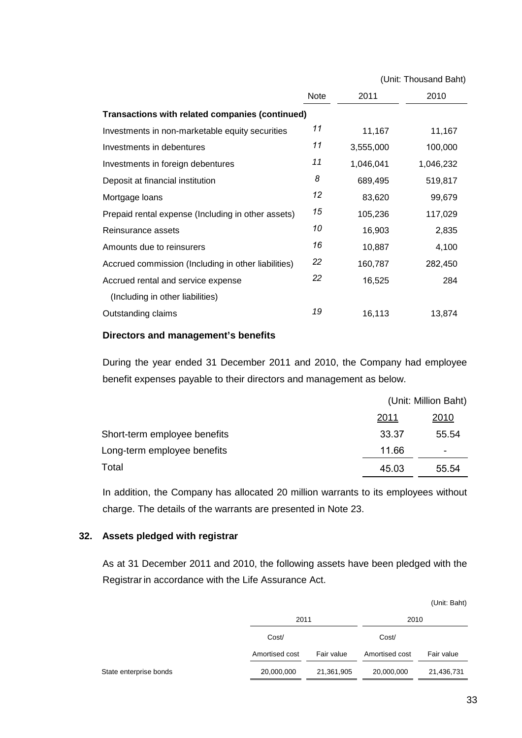|                                                     |             |           | (Unit: Thousand Baht) |
|-----------------------------------------------------|-------------|-----------|-----------------------|
|                                                     | <b>Note</b> | 2011      | 2010                  |
| Transactions with related companies (continued)     |             |           |                       |
| Investments in non-marketable equity securities     | 11          | 11,167    | 11,167                |
| Investments in debentures                           | 11          | 3,555,000 | 100,000               |
| Investments in foreign debentures                   | 11          | 1,046,041 | 1,046,232             |
| Deposit at financial institution                    | 8           | 689,495   | 519,817               |
| Mortgage loans                                      | 12          | 83,620    | 99,679                |
| Prepaid rental expense (Including in other assets)  | 15          | 105,236   | 117,029               |
| Reinsurance assets                                  | 10          | 16,903    | 2,835                 |
| Amounts due to reinsurers                           | 16          | 10,887    | 4,100                 |
| Accrued commission (Including in other liabilities) | 22          | 160,787   | 282,450               |
| Accrued rental and service expense                  | 22          | 16,525    | 284                   |
| (Including in other liabilities)                    |             |           |                       |
| Outstanding claims                                  | 19          | 16,113    | 13,874                |
|                                                     |             |           |                       |

#### **Directors and management's benefits**

 During the year ended 31 December 2011 and 2010, the Company had employee benefit expenses payable to their directors and management as below.

|                              | (Unit: Million Baht) |                          |
|------------------------------|----------------------|--------------------------|
|                              | 2011                 | <u> 2010</u>             |
| Short-term employee benefits | 33.37                | 55.54                    |
| Long-term employee benefits  | 11.66                | $\overline{\phantom{0}}$ |
| Total                        | 45.03                | 55.54                    |

 In addition, the Company has allocated 20 million warrants to its employees without charge. The details of the warrants are presented in Note 23.

## **32. Assets pledged with registrar**

 As at 31 December 2011 and 2010, the following assets have been pledged with the Registrar in accordance with the Life Assurance Act.

|                        |                |            |                | (Unit: Baht) |
|------------------------|----------------|------------|----------------|--------------|
|                        | 2011           |            | 2010           |              |
|                        | Cost/          |            | Cost/          |              |
|                        | Amortised cost | Fair value | Amortised cost | Fair value   |
| State enterprise bonds | 20,000,000     | 21,361,905 | 20,000,000     | 21,436,731   |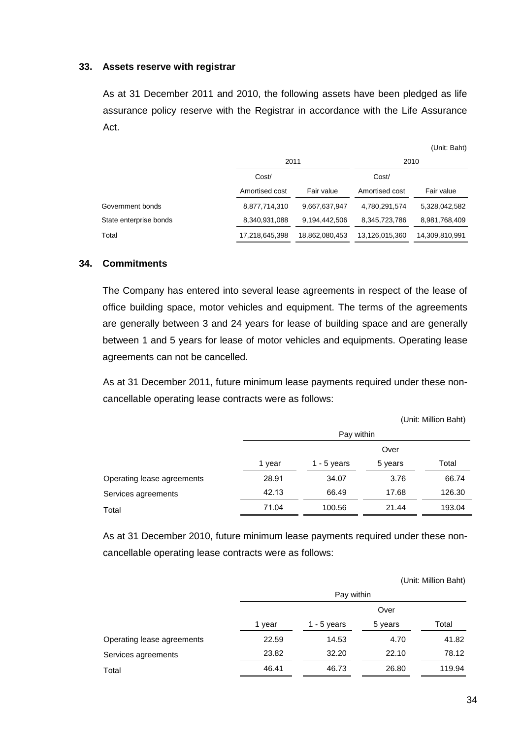#### **33. Assets reserve with registrar**

 As at 31 December 2011 and 2010, the following assets have been pledged as life assurance policy reserve with the Registrar in accordance with the Life Assurance Act.

|                        | 2011           |                | 2010           |                |
|------------------------|----------------|----------------|----------------|----------------|
|                        | Cost/          |                | Cost/          |                |
|                        | Amortised cost | Fair value     | Amortised cost | Fair value     |
| Government bonds       | 8,877,714,310  | 9,667,637,947  | 4,780,291,574  | 5,328,042,582  |
| State enterprise bonds | 8,340,931,088  | 9,194,442,506  | 8,345,723,786  | 8,981,768,409  |
| Total                  | 17,218,645,398 | 18,862,080,453 | 13,126,015,360 | 14,309,810,991 |

#### **34. Commitments**

 The Company has entered into several lease agreements in respect of the lease of office building space, motor vehicles and equipment. The terms of the agreements are generally between 3 and 24 years for lease of building space and are generally between 1 and 5 years for lease of motor vehicles and equipments. Operating lease agreements can not be cancelled.

 As at 31 December 2011, future minimum lease payments required under these noncancellable operating lease contracts were as follows:

|                            |        | Pay within  |         |        |  |
|----------------------------|--------|-------------|---------|--------|--|
|                            |        | Over        |         |        |  |
|                            | 1 year | 1 - 5 years | 5 years | Total  |  |
| Operating lease agreements | 28.91  | 34.07       | 3.76    | 66.74  |  |
| Services agreements        | 42.13  | 66.49       | 17.68   | 126.30 |  |
| Total                      | 71.04  | 100.56      | 21.44   | 193.04 |  |
|                            |        |             |         |        |  |

As at 31 December 2010, future minimum lease payments required under these noncancellable operating lease contracts were as follows:

|                            |        |               |         | (Unit: Million Baht) |
|----------------------------|--------|---------------|---------|----------------------|
|                            |        | Pay within    |         |                      |
|                            |        |               | Over    |                      |
|                            | 1 year | 1 - $5$ years | 5 years | Total                |
| Operating lease agreements | 22.59  | 14.53         | 4.70    | 41.82                |
| Services agreements        | 23.82  | 32.20         | 22.10   | 78.12                |
| Total                      | 46.41  | 46.73         | 26.80   | 119.94               |

(Unit: Baht)

(Unit: Million Baht)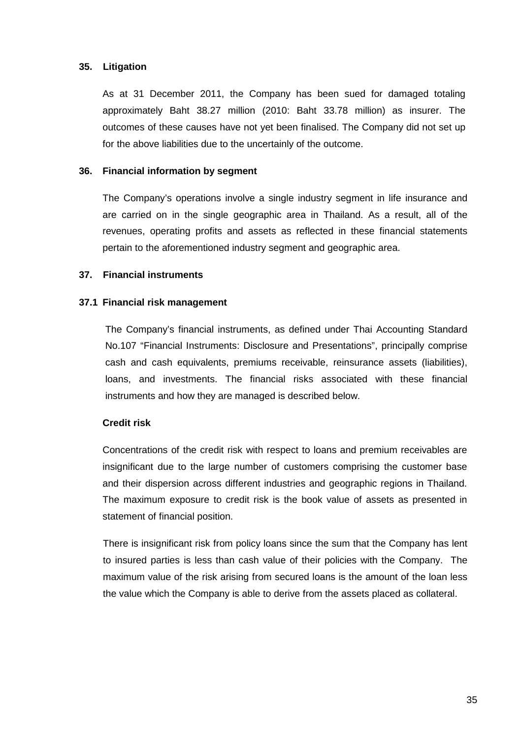## **35. Litigation**

As at 31 December 2011, the Company has been sued for damaged totaling approximately Baht 38.27 million (2010: Baht 33.78 million) as insurer. The outcomes of these causes have not yet been finalised. The Company did not set up for the above liabilities due to the uncertainly of the outcome.

## **36. Financial information by segment**

 The Company's operations involve a single industry segment in life insurance and are carried on in the single geographic area in Thailand. As a result, all of the revenues, operating profits and assets as reflected in these financial statements pertain to the aforementioned industry segment and geographic area.

## **37. Financial instruments**

## **37.1 Financial risk management**

The Company's financial instruments, as defined under Thai Accounting Standard No.107 "Financial Instruments: Disclosure and Presentations", principally comprise cash and cash equivalents, premiums receivable, reinsurance assets (liabilities), loans, and investments. The financial risks associated with these financial instruments and how they are managed is described below.

# **Credit risk**

 Concentrations of the credit risk with respect to loans and premium receivables are insignificant due to the large number of customers comprising the customer base and their dispersion across different industries and geographic regions in Thailand. The maximum exposure to credit risk is the book value of assets as presented in statement of financial position.

 There is insignificant risk from policy loans since the sum that the Company has lent to insured parties is less than cash value of their policies with the Company. The maximum value of the risk arising from secured loans is the amount of the loan less the value which the Company is able to derive from the assets placed as collateral.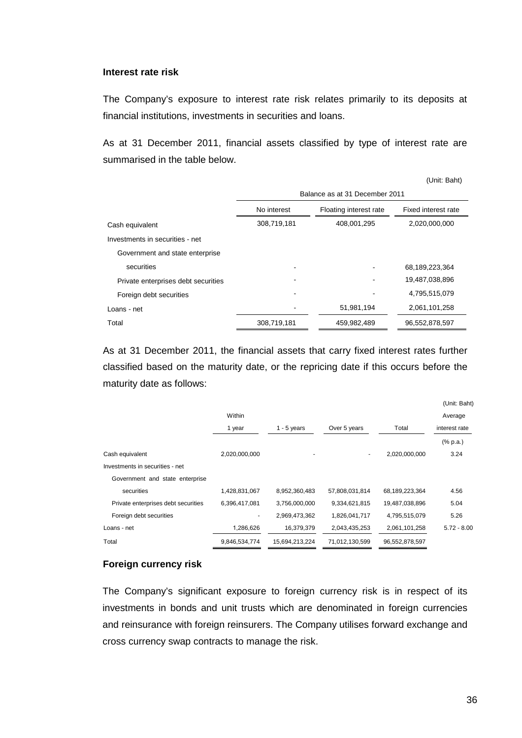### **Interest rate risk**

 The Company's exposure to interest rate risk relates primarily to its deposits at financial institutions, investments in securities and loans.

 As at 31 December 2011, financial assets classified by type of interest rate are summarised in the table below.

|                                     |                                                              |             | (Unit: Baht)   |  |
|-------------------------------------|--------------------------------------------------------------|-------------|----------------|--|
|                                     | Balance as at 31 December 2011                               |             |                |  |
|                                     | No interest<br>Floating interest rate<br>Fixed interest rate |             |                |  |
| Cash equivalent                     | 308,719,181                                                  | 408,001,295 | 2,020,000,000  |  |
| Investments in securities - net     |                                                              |             |                |  |
| Government and state enterprise     |                                                              |             |                |  |
| securities                          |                                                              |             | 68,189,223,364 |  |
| Private enterprises debt securities |                                                              |             | 19,487,038,896 |  |
| Foreign debt securities             |                                                              |             | 4,795,515,079  |  |
| Loans - net                         |                                                              | 51,981,194  | 2,061,101,258  |  |
| Total                               | 308,719,181                                                  | 459,982,489 | 96,552,878,597 |  |

 As at 31 December 2011, the financial assets that carry fixed interest rates further classified based on the maturity date, or the repricing date if this occurs before the maturity date as follows:

|                                     |               |                |                |                | (Unit: Baht)                |
|-------------------------------------|---------------|----------------|----------------|----------------|-----------------------------|
|                                     | Within        |                |                |                | Average                     |
|                                     | 1 year        | $1 - 5$ years  | Over 5 years   | Total          | interest rate               |
|                                     |               |                |                |                | $(% \mathbb{R}^2)$ (% p.a.) |
| Cash equivalent                     | 2,020,000,000 |                | ۰              | 2,020,000,000  | 3.24                        |
| Investments in securities - net     |               |                |                |                |                             |
| Government and state enterprise     |               |                |                |                |                             |
| securities                          | 1,428,831,067 | 8,952,360,483  | 57,808,031,814 | 68,189,223,364 | 4.56                        |
| Private enterprises debt securities | 6,396,417,081 | 3,756,000,000  | 9,334,621,815  | 19,487,038,896 | 5.04                        |
| Foreign debt securities             | ۰             | 2,969,473,362  | 1,826,041,717  | 4,795,515,079  | 5.26                        |
| Loans - net                         | 1,286,626     | 16,379,379     | 2,043,435,253  | 2,061,101,258  | $5.72 - 8.00$               |
| Total                               | 9,846,534,774 | 15.694.213.224 | 71,012,130,599 | 96,552,878,597 |                             |
|                                     |               |                |                |                |                             |

### **Foreign currency risk**

 The Company's significant exposure to foreign currency risk is in respect of its investments in bonds and unit trusts which are denominated in foreign currencies and reinsurance with foreign reinsurers. The Company utilises forward exchange and cross currency swap contracts to manage the risk.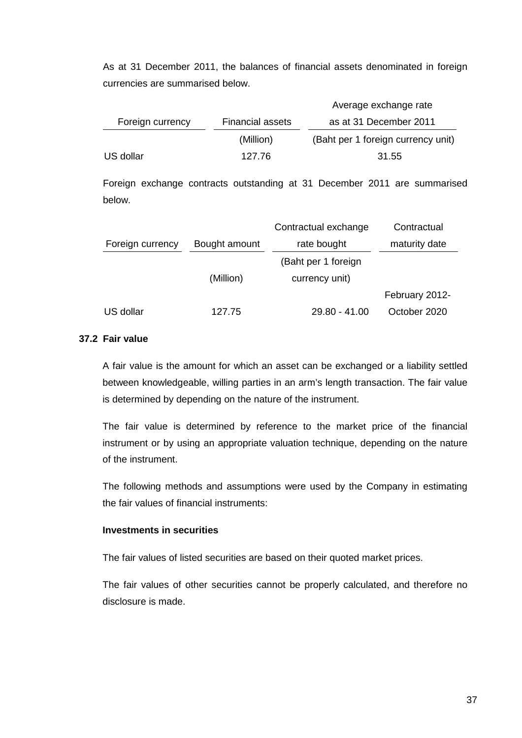As at 31 December 2011, the balances of financial assets denominated in foreign currencies are summarised below.

|                  |                         | Average exchange rate              |
|------------------|-------------------------|------------------------------------|
| Foreign currency | <b>Financial assets</b> | as at 31 December 2011             |
|                  | (Million)               | (Baht per 1 foreign currency unit) |
| US dollar        | 127.76                  | 31.55                              |

 Foreign exchange contracts outstanding at 31 December 2011 are summarised below.

|                  |               | Contractual exchange | Contractual    |
|------------------|---------------|----------------------|----------------|
| Foreign currency | Bought amount | rate bought          | maturity date  |
|                  |               | (Baht per 1 foreign  |                |
|                  | (Million)     | currency unit)       |                |
|                  |               |                      | February 2012- |
| US dollar        | 127.75        | $29.80 - 41.00$      | October 2020   |

## **37.2 Fair value**

 A fair value is the amount for which an asset can be exchanged or a liability settled between knowledgeable, willing parties in an arm's length transaction. The fair value is determined by depending on the nature of the instrument.

 The fair value is determined by reference to the market price of the financial instrument or by using an appropriate valuation technique, depending on the nature of the instrument.

 The following methods and assumptions were used by the Company in estimating the fair values of financial instruments:

## **Investments in securities**

The fair values of listed securities are based on their quoted market prices.

 The fair values of other securities cannot be properly calculated, and therefore no disclosure is made.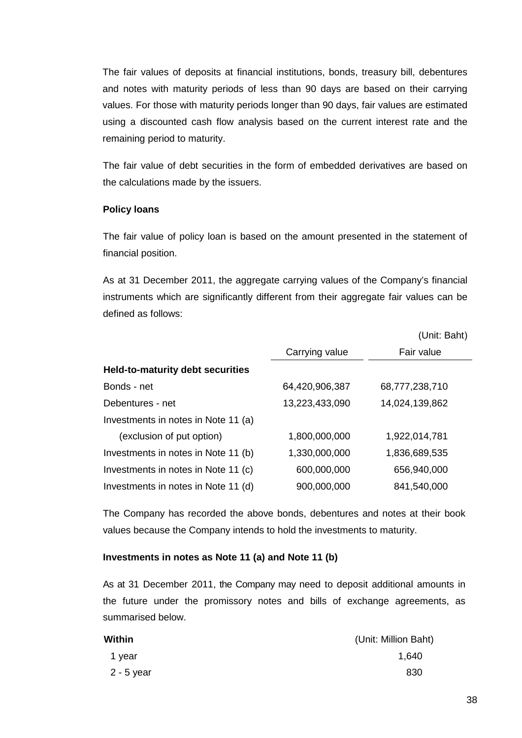The fair values of deposits at financial institutions, bonds, treasury bill, debentures and notes with maturity periods of less than 90 days are based on their carrying values. For those with maturity periods longer than 90 days, fair values are estimated using a discounted cash flow analysis based on the current interest rate and the remaining period to maturity.

 The fair value of debt securities in the form of embedded derivatives are based on the calculations made by the issuers.

## **Policy loans**

 The fair value of policy loan is based on the amount presented in the statement of financial position.

 As at 31 December 2011, the aggregate carrying values of the Company's financial instruments which are significantly different from their aggregate fair values can be defined as follows:

|                                         |                | (Unit: Baht)   |
|-----------------------------------------|----------------|----------------|
|                                         | Carrying value | Fair value     |
| <b>Held-to-maturity debt securities</b> |                |                |
| Bonds - net                             | 64,420,906,387 | 68,777,238,710 |
| Debentures - net                        | 13,223,433,090 | 14,024,139,862 |
| Investments in notes in Note 11 (a)     |                |                |
| (exclusion of put option)               | 1,800,000,000  | 1,922,014,781  |
| Investments in notes in Note 11 (b)     | 1,330,000,000  | 1,836,689,535  |
| Investments in notes in Note 11 (c)     | 600,000,000    | 656,940,000    |
| Investments in notes in Note 11 (d)     | 900,000,000    | 841,540,000    |

 The Company has recorded the above bonds, debentures and notes at their book values because the Company intends to hold the investments to maturity.

#### **Investments in notes as Note 11 (a) and Note 11 (b)**

 As at 31 December 2011, the Company may need to deposit additional amounts in the future under the promissory notes and bills of exchange agreements, as summarised below.

| Within     | (Unit: Million Baht) |
|------------|----------------------|
| 1 year     | 1,640                |
| 2 - 5 year | 830                  |